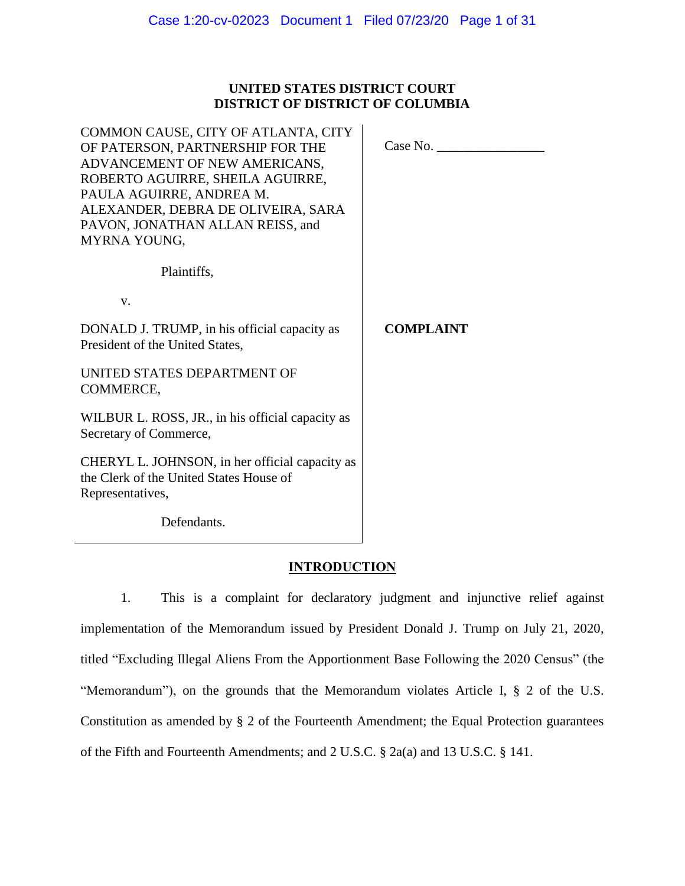## **UNITED STATES DISTRICT COURT DISTRICT OF DISTRICT OF COLUMBIA**

| COMMON CAUSE, CITY OF ATLANTA, CITY<br>OF PATERSON, PARTNERSHIP FOR THE<br>ADVANCEMENT OF NEW AMERICANS,<br>ROBERTO AGUIRRE, SHEILA AGUIRRE,<br>PAULA AGUIRRE, ANDREA M.<br>ALEXANDER, DEBRA DE OLIVEIRA, SARA<br>PAVON, JONATHAN ALLAN REISS, and<br>MYRNA YOUNG, | Case No.         |
|--------------------------------------------------------------------------------------------------------------------------------------------------------------------------------------------------------------------------------------------------------------------|------------------|
| Plaintiffs.                                                                                                                                                                                                                                                        |                  |
| V.                                                                                                                                                                                                                                                                 |                  |
| DONALD J. TRUMP, in his official capacity as<br>President of the United States,                                                                                                                                                                                    | <b>COMPLAINT</b> |
| UNITED STATES DEPARTMENT OF<br>COMMERCE,                                                                                                                                                                                                                           |                  |
| WILBUR L. ROSS, JR., in his official capacity as<br>Secretary of Commerce,                                                                                                                                                                                         |                  |
| CHERYL L. JOHNSON, in her official capacity as<br>the Clerk of the United States House of<br>Representatives,                                                                                                                                                      |                  |
| Defendants.                                                                                                                                                                                                                                                        |                  |

# **INTRODUCTION**

1. This is a complaint for declaratory judgment and injunctive relief against implementation of the Memorandum issued by President Donald J. Trump on July 21, 2020, titled "Excluding Illegal Aliens From the Apportionment Base Following the 2020 Census" (the "Memorandum"), on the grounds that the Memorandum violates Article I, § 2 of the U.S. Constitution as amended by § 2 of the Fourteenth Amendment; the Equal Protection guarantees of the Fifth and Fourteenth Amendments; and 2 U.S.C. § 2a(a) and 13 U.S.C. § 141.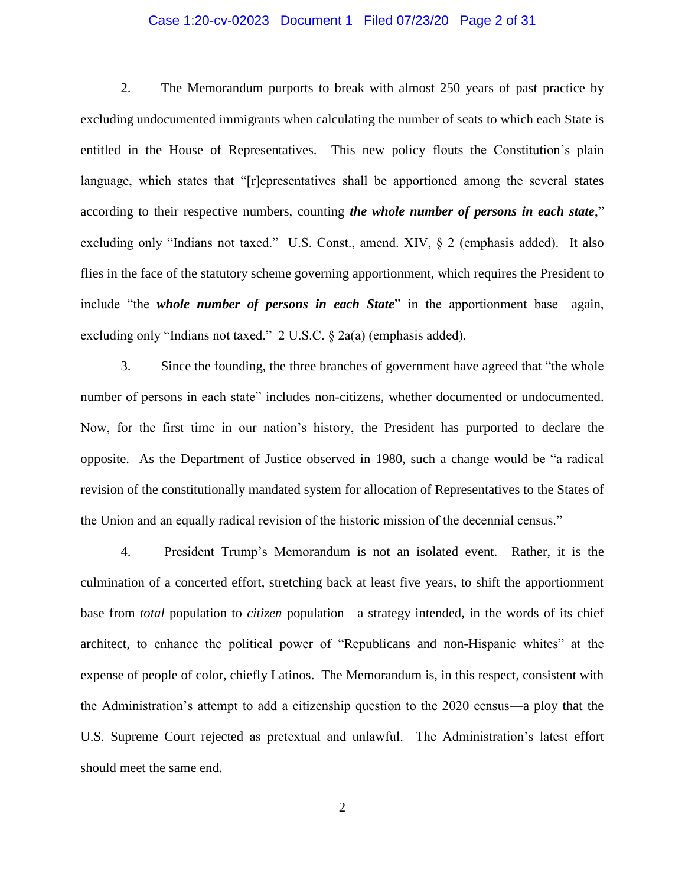#### Case 1:20-cv-02023 Document 1 Filed 07/23/20 Page 2 of 31

2. The Memorandum purports to break with almost 250 years of past practice by excluding undocumented immigrants when calculating the number of seats to which each State is entitled in the House of Representatives. This new policy flouts the Constitution's plain language, which states that "[r]epresentatives shall be apportioned among the several states according to their respective numbers, counting *the whole number of persons in each state*," excluding only "Indians not taxed." U.S. Const., amend. XIV, § 2 (emphasis added). It also flies in the face of the statutory scheme governing apportionment, which requires the President to include "the *whole number of persons in each State*" in the apportionment base—again, excluding only "Indians not taxed." 2 U.S.C. § 2a(a) (emphasis added).

3. Since the founding, the three branches of government have agreed that "the whole number of persons in each state" includes non-citizens, whether documented or undocumented. Now, for the first time in our nation's history, the President has purported to declare the opposite. As the Department of Justice observed in 1980, such a change would be "a radical revision of the constitutionally mandated system for allocation of Representatives to the States of the Union and an equally radical revision of the historic mission of the decennial census."

4. President Trump's Memorandum is not an isolated event. Rather, it is the culmination of a concerted effort, stretching back at least five years, to shift the apportionment base from *total* population to *citizen* population—a strategy intended, in the words of its chief architect, to enhance the political power of "Republicans and non-Hispanic whites" at the expense of people of color, chiefly Latinos. The Memorandum is, in this respect, consistent with the Administration's attempt to add a citizenship question to the 2020 census—a ploy that the U.S. Supreme Court rejected as pretextual and unlawful. The Administration's latest effort should meet the same end.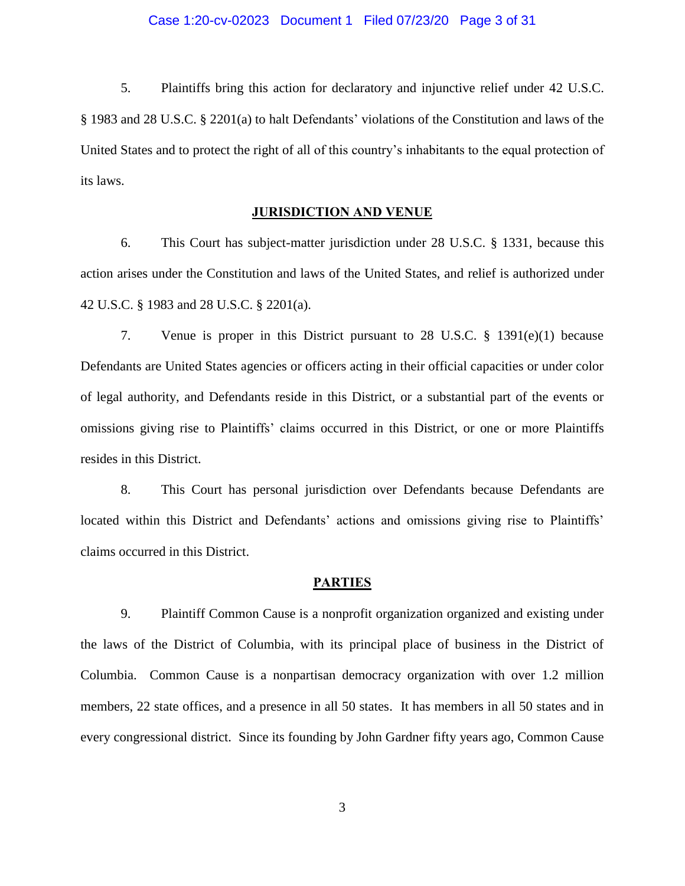5. Plaintiffs bring this action for declaratory and injunctive relief under 42 U.S.C. § 1983 and 28 U.S.C. § 2201(a) to halt Defendants' violations of the Constitution and laws of the United States and to protect the right of all of this country's inhabitants to the equal protection of its laws.

#### **JURISDICTION AND VENUE**

6. This Court has subject-matter jurisdiction under 28 U.S.C. § 1331, because this action arises under the Constitution and laws of the United States, and relief is authorized under 42 U.S.C. § 1983 and 28 U.S.C. § 2201(a).

7. Venue is proper in this District pursuant to 28 U.S.C. § 1391(e)(1) because Defendants are United States agencies or officers acting in their official capacities or under color of legal authority, and Defendants reside in this District, or a substantial part of the events or omissions giving rise to Plaintiffs' claims occurred in this District, or one or more Plaintiffs resides in this District.

8. This Court has personal jurisdiction over Defendants because Defendants are located within this District and Defendants' actions and omissions giving rise to Plaintiffs' claims occurred in this District.

#### **PARTIES**

9. Plaintiff Common Cause is a nonprofit organization organized and existing under the laws of the District of Columbia, with its principal place of business in the District of Columbia. Common Cause is a nonpartisan democracy organization with over 1.2 million members, 22 state offices, and a presence in all 50 states. It has members in all 50 states and in every congressional district. Since its founding by John Gardner fifty years ago, Common Cause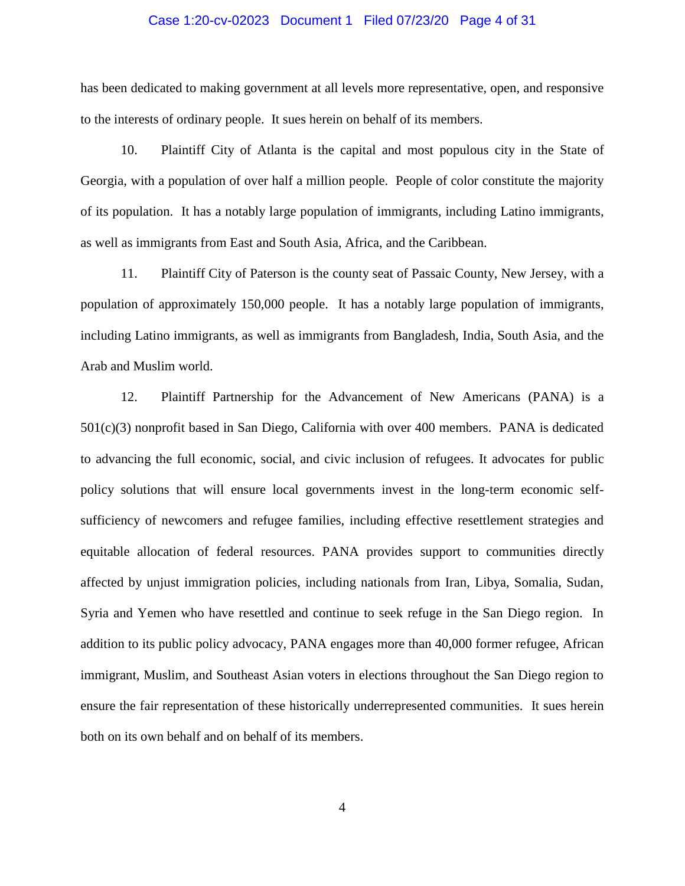#### Case 1:20-cv-02023 Document 1 Filed 07/23/20 Page 4 of 31

has been dedicated to making government at all levels more representative, open, and responsive to the interests of ordinary people. It sues herein on behalf of its members.

10. Plaintiff City of Atlanta is the capital and most populous city in the State of Georgia, with a population of over half a million people. People of color constitute the majority of its population. It has a notably large population of immigrants, including Latino immigrants, as well as immigrants from East and South Asia, Africa, and the Caribbean.

11. Plaintiff City of Paterson is the county seat of Passaic County, New Jersey, with a population of approximately 150,000 people. It has a notably large population of immigrants, including Latino immigrants, as well as immigrants from Bangladesh, India, South Asia, and the Arab and Muslim world.

12. Plaintiff Partnership for the Advancement of New Americans (PANA) is a 501(c)(3) nonprofit based in San Diego, California with over 400 members. PANA is dedicated to advancing the full economic, social, and civic inclusion of refugees. It advocates for public policy solutions that will ensure local governments invest in the long-term economic selfsufficiency of newcomers and refugee families, including effective resettlement strategies and equitable allocation of federal resources. PANA provides support to communities directly affected by unjust immigration policies, including nationals from Iran, Libya, Somalia, Sudan, Syria and Yemen who have resettled and continue to seek refuge in the San Diego region. In addition to its public policy advocacy, PANA engages more than 40,000 former refugee, African immigrant, Muslim, and Southeast Asian voters in elections throughout the San Diego region to ensure the fair representation of these historically underrepresented communities. It sues herein both on its own behalf and on behalf of its members.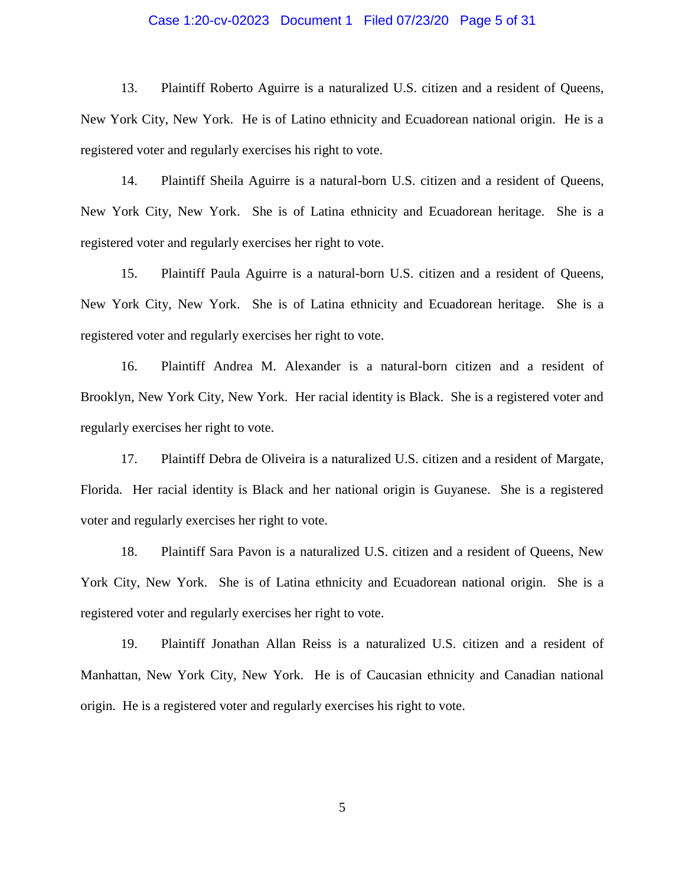#### Case 1:20-cv-02023 Document 1 Filed 07/23/20 Page 5 of 31

13. Plaintiff Roberto Aguirre is a naturalized U.S. citizen and a resident of Queens, New York City, New York. He is of Latino ethnicity and Ecuadorean national origin. He is a registered voter and regularly exercises his right to vote.

14. Plaintiff Sheila Aguirre is a natural-born U.S. citizen and a resident of Queens, New York City, New York. She is of Latina ethnicity and Ecuadorean heritage. She is a registered voter and regularly exercises her right to vote.

15. Plaintiff Paula Aguirre is a natural-born U.S. citizen and a resident of Queens, New York City, New York. She is of Latina ethnicity and Ecuadorean heritage. She is a registered voter and regularly exercises her right to vote.

16. Plaintiff Andrea M. Alexander is a natural-born citizen and a resident of Brooklyn, New York City, New York. Her racial identity is Black. She is a registered voter and regularly exercises her right to vote.

17. Plaintiff Debra de Oliveira is a naturalized U.S. citizen and a resident of Margate, Florida. Her racial identity is Black and her national origin is Guyanese. She is a registered voter and regularly exercises her right to vote.

18. Plaintiff Sara Pavon is a naturalized U.S. citizen and a resident of Queens, New York City, New York. She is of Latina ethnicity and Ecuadorean national origin. She is a registered voter and regularly exercises her right to vote.

19. Plaintiff Jonathan Allan Reiss is a naturalized U.S. citizen and a resident of Manhattan, New York City, New York. He is of Caucasian ethnicity and Canadian national origin. He is a registered voter and regularly exercises his right to vote.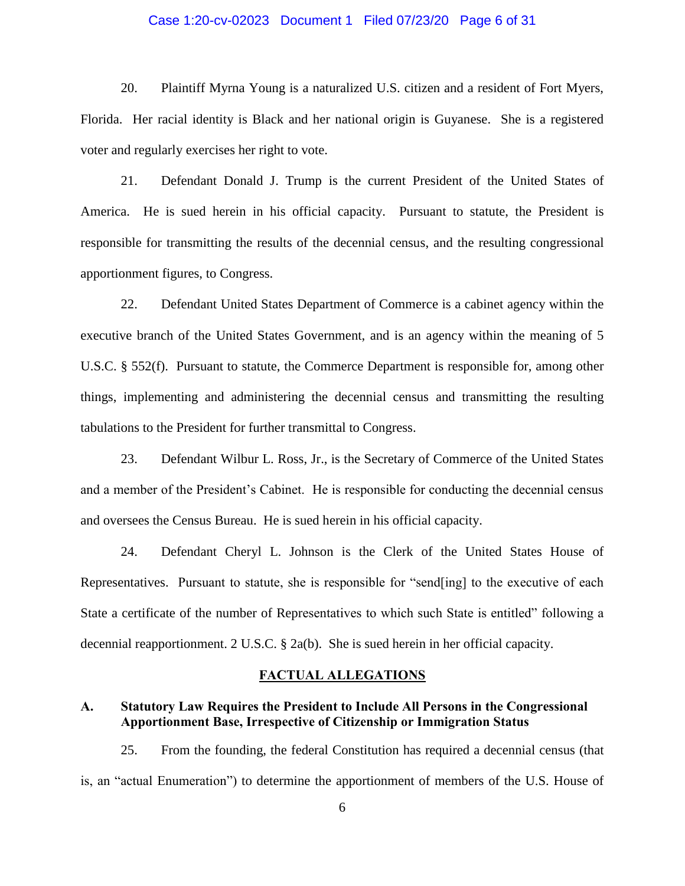#### Case 1:20-cv-02023 Document 1 Filed 07/23/20 Page 6 of 31

20. Plaintiff Myrna Young is a naturalized U.S. citizen and a resident of Fort Myers, Florida. Her racial identity is Black and her national origin is Guyanese. She is a registered voter and regularly exercises her right to vote.

21. Defendant Donald J. Trump is the current President of the United States of America. He is sued herein in his official capacity. Pursuant to statute, the President is responsible for transmitting the results of the decennial census, and the resulting congressional apportionment figures, to Congress.

22. Defendant United States Department of Commerce is a cabinet agency within the executive branch of the United States Government, and is an agency within the meaning of 5 U.S.C. § 552(f). Pursuant to statute, the Commerce Department is responsible for, among other things, implementing and administering the decennial census and transmitting the resulting tabulations to the President for further transmittal to Congress.

23. Defendant Wilbur L. Ross, Jr., is the Secretary of Commerce of the United States and a member of the President's Cabinet. He is responsible for conducting the decennial census and oversees the Census Bureau. He is sued herein in his official capacity.

24. Defendant Cheryl L. Johnson is the Clerk of the United States House of Representatives. Pursuant to statute, she is responsible for "send[ing] to the executive of each State a certificate of the number of Representatives to which such State is entitled" following a decennial reapportionment. 2 U.S.C. § 2a(b). She is sued herein in her official capacity.

#### **FACTUAL ALLEGATIONS**

### **A. Statutory Law Requires the President to Include All Persons in the Congressional Apportionment Base, Irrespective of Citizenship or Immigration Status**

25. From the founding, the federal Constitution has required a decennial census (that is, an "actual Enumeration") to determine the apportionment of members of the U.S. House of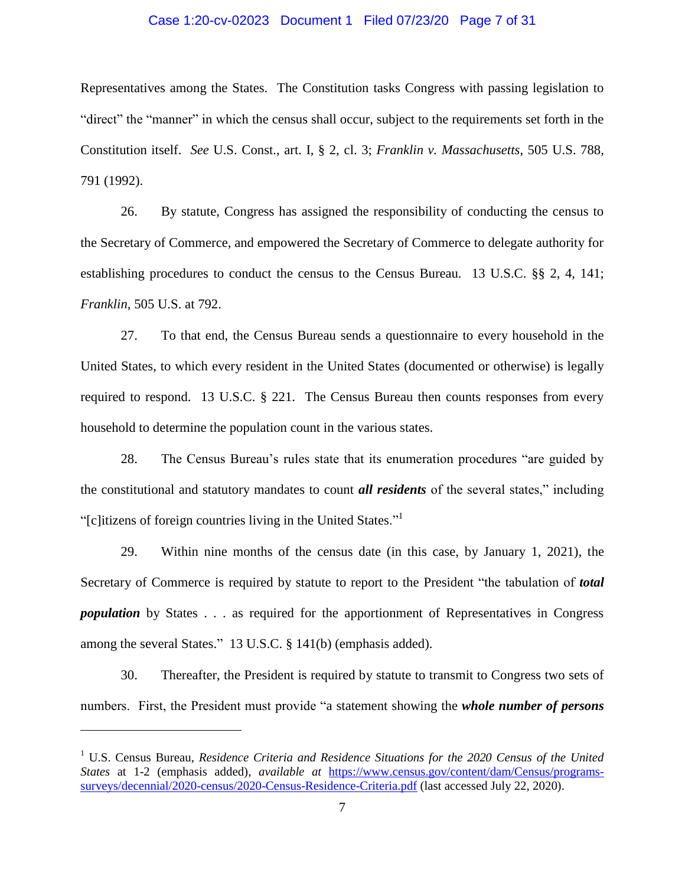#### Case 1:20-cv-02023 Document 1 Filed 07/23/20 Page 7 of 31

Representatives among the States. The Constitution tasks Congress with passing legislation to "direct" the "manner" in which the census shall occur, subject to the requirements set forth in the Constitution itself. *See* U.S. Const., art. I, § 2, cl. 3; *Franklin v. Massachusetts*, 505 U.S. 788, 791 (1992).

26. By statute, Congress has assigned the responsibility of conducting the census to the Secretary of Commerce, and empowered the Secretary of Commerce to delegate authority for establishing procedures to conduct the census to the Census Bureau. 13 U.S.C. §§ 2, 4, 141; *Franklin*, 505 U.S. at 792.

27. To that end, the Census Bureau sends a questionnaire to every household in the United States, to which every resident in the United States (documented or otherwise) is legally required to respond. 13 U.S.C. § 221. The Census Bureau then counts responses from every household to determine the population count in the various states.

28. The Census Bureau's rules state that its enumeration procedures "are guided by the constitutional and statutory mandates to count *all residents* of the several states," including "[c]itizens of foreign countries living in the United States."<sup>1</sup>

29. Within nine months of the census date (in this case, by January 1, 2021), the Secretary of Commerce is required by statute to report to the President "the tabulation of *total population* by States . . . as required for the apportionment of Representatives in Congress among the several States." 13 U.S.C. § 141(b) (emphasis added).

30. Thereafter, the President is required by statute to transmit to Congress two sets of numbers. First, the President must provide "a statement showing the *whole number of persons*

<sup>1</sup> U.S. Census Bureau, *Residence Criteria and Residence Situations for the 2020 Census of the United States* at 1-2 (emphasis added), *available at* [https://www.census.gov/content/dam/Census/programs](�� h t t p s : / / w w w . c e n s u s . g o v / � "  c o n t e n t / d a m / C e n s u s / p r o g r a m s - s u r v e y s / d e c e n n i a l / 2 0 2 0 - c e n s u s / 2 0 2 0 - C e n s u s - R e s i d e n c e - C r i t e r i a . p d f)[surveys/decennial/2020-census/2020-Census-Residence-Criteria.pdf](�� h t t p s : / / w w w . c e n s u s . g o v / � "  c o n t e n t / d a m / C e n s u s / p r o g r a m s - s u r v e y s / d e c e n n i a l / 2 0 2 0 - c e n s u s / 2 0 2 0 - C e n s u s - R e s i d e n c e - C r i t e r i a . p d f) (last accessed July 22, 2020).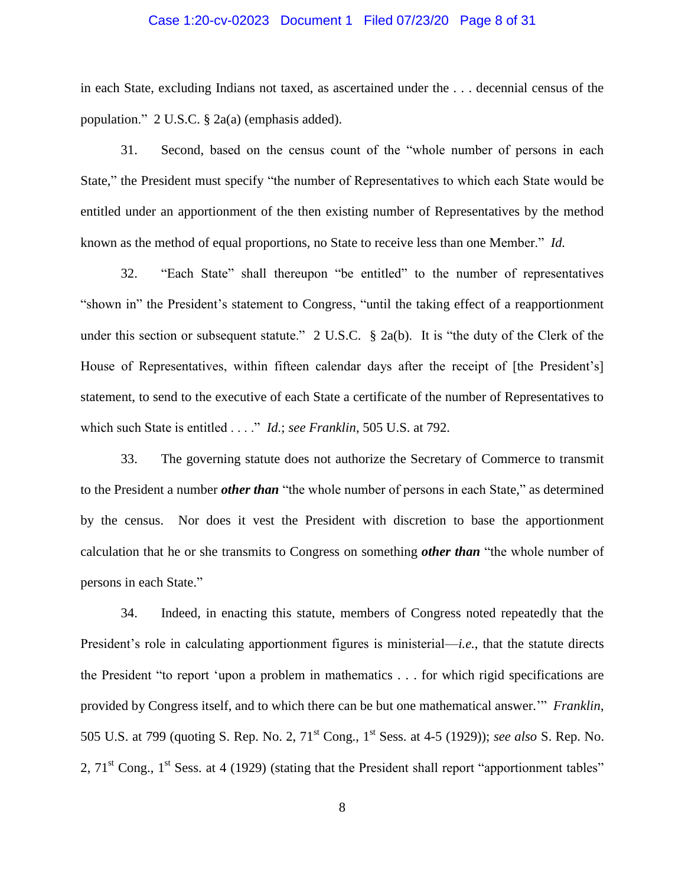#### Case 1:20-cv-02023 Document 1 Filed 07/23/20 Page 8 of 31

in each State, excluding Indians not taxed, as ascertained under the . . . decennial census of the population." 2 U.S.C. § 2a(a) (emphasis added).

31. Second, based on the census count of the "whole number of persons in each State," the President must specify "the number of Representatives to which each State would be entitled under an apportionment of the then existing number of Representatives by the method known as the method of equal proportions, no State to receive less than one Member." *Id.*

32. "Each State" shall thereupon "be entitled" to the number of representatives "shown in" the President's statement to Congress, "until the taking effect of a reapportionment under this section or subsequent statute." 2 U.S.C. § 2a(b). It is "the duty of the Clerk of the House of Representatives, within fifteen calendar days after the receipt of [the President's] statement, to send to the executive of each State a certificate of the number of Representatives to which such State is entitled . . . ." *Id.*; *see Franklin*, 505 U.S. at 792.

33. The governing statute does not authorize the Secretary of Commerce to transmit to the President a number *other than* "the whole number of persons in each State," as determined by the census. Nor does it vest the President with discretion to base the apportionment calculation that he or she transmits to Congress on something *other than* "the whole number of persons in each State."

34. Indeed, in enacting this statute, members of Congress noted repeatedly that the President's role in calculating apportionment figures is ministerial—*i.e.*, that the statute directs the President "to report 'upon a problem in mathematics . . . for which rigid specifications are provided by Congress itself, and to which there can be but one mathematical answer.'" *Franklin*, 505 U.S. at 799 (quoting S. Rep. No. 2, 71st Cong., 1st Sess. at 4-5 (1929)); *see also* S. Rep. No. 2,  $71<sup>st</sup>$  Cong.,  $1<sup>st</sup>$  Sess. at 4 (1929) (stating that the President shall report "apportionment tables"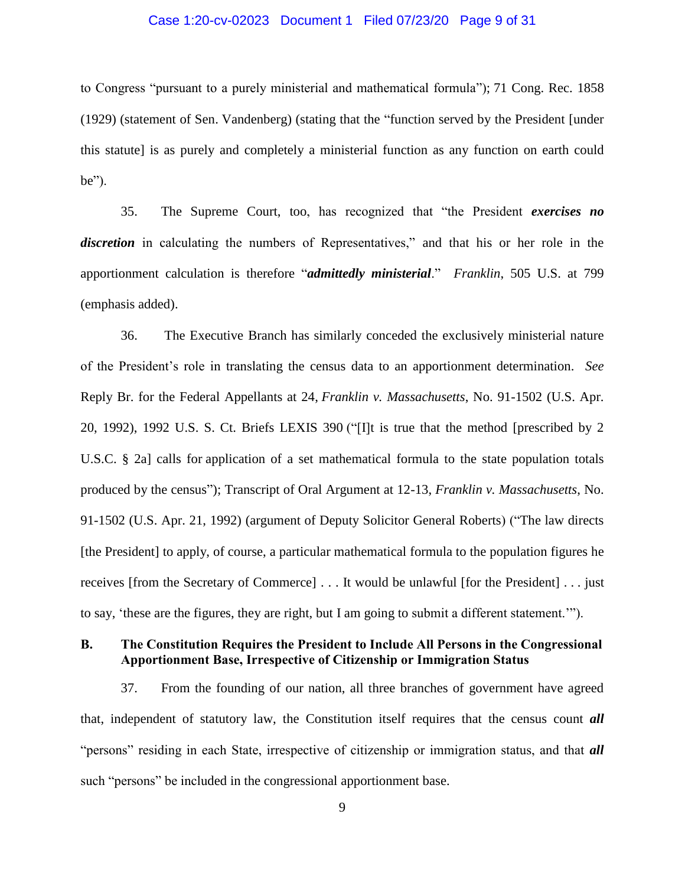#### Case 1:20-cv-02023 Document 1 Filed 07/23/20 Page 9 of 31

to Congress "pursuant to a purely ministerial and mathematical formula"); 71 Cong. Rec. 1858 (1929) (statement of Sen. Vandenberg) (stating that the "function served by the President [under this statute] is as purely and completely a ministerial function as any function on earth could be").

35. The Supreme Court, too, has recognized that "the President *exercises no discretion* in calculating the numbers of Representatives," and that his or her role in the apportionment calculation is therefore "*admittedly ministerial*." *Franklin*, 505 U.S. at 799 (emphasis added).

36. The Executive Branch has similarly conceded the exclusively ministerial nature of the President's role in translating the census data to an apportionment determination. *See*  Reply Br. for the Federal Appellants at 24, *Franklin v. Massachusetts*, No. 91-1502 (U.S. Apr. 20, 1992), 1992 U.S. S. Ct. Briefs LEXIS 390 ("[I]t is true that the method [prescribed by 2 U.S.C. § 2a] calls for application of a set mathematical formula to the state population totals produced by the census"); Transcript of Oral Argument at 12-13, *Franklin v. Massachusetts*, No. 91-1502 (U.S. Apr. 21, 1992) (argument of Deputy Solicitor General Roberts) ("The law directs [the President] to apply, of course, a particular mathematical formula to the population figures he receives [from the Secretary of Commerce] . . . It would be unlawful [for the President] . . . just to say, 'these are the figures, they are right, but I am going to submit a different statement.'").

## **B. The Constitution Requires the President to Include All Persons in the Congressional Apportionment Base, Irrespective of Citizenship or Immigration Status**

37. From the founding of our nation, all three branches of government have agreed that, independent of statutory law, the Constitution itself requires that the census count *all* "persons" residing in each State, irrespective of citizenship or immigration status, and that *all* such "persons" be included in the congressional apportionment base.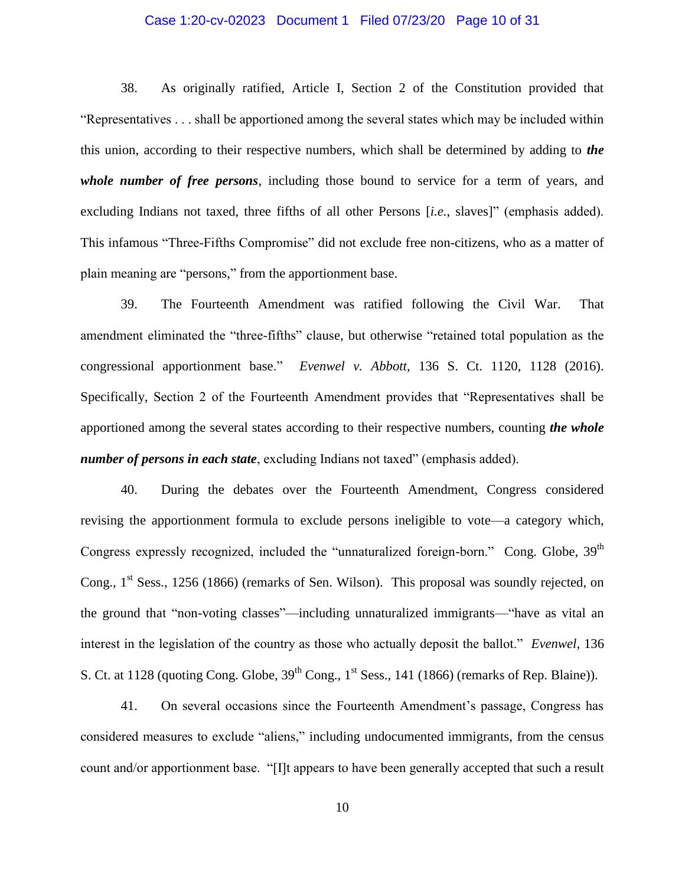#### Case 1:20-cv-02023 Document 1 Filed 07/23/20 Page 10 of 31

38. As originally ratified, Article I, Section 2 of the Constitution provided that "Representatives . . . shall be apportioned among the several states which may be included within this union, according to their respective numbers, which shall be determined by adding to *the whole number of free persons*, including those bound to service for a term of years, and excluding Indians not taxed, three fifths of all other Persons [*i.e.*, slaves]" (emphasis added). This infamous "Three-Fifths Compromise" did not exclude free non-citizens, who as a matter of plain meaning are "persons," from the apportionment base.

39. The Fourteenth Amendment was ratified following the Civil War. That amendment eliminated the "three-fifths" clause, but otherwise "retained total population as the congressional apportionment base." *Evenwel v. Abbott*, 136 S. Ct. 1120, 1128 (2016). Specifically, Section 2 of the Fourteenth Amendment provides that "Representatives shall be apportioned among the several states according to their respective numbers, counting *the whole number of persons in each state*, excluding Indians not taxed" (emphasis added).

40. During the debates over the Fourteenth Amendment, Congress considered revising the apportionment formula to exclude persons ineligible to vote—a category which, Congress expressly recognized, included the "unnaturalized foreign-born." Cong. Globe, 39<sup>th</sup> Cong.,  $1<sup>st</sup> Sess.$ , 1256 (1866) (remarks of Sen. Wilson). This proposal was soundly rejected, on the ground that "non-voting classes"—including unnaturalized immigrants—"have as vital an interest in the legislation of the country as those who actually deposit the ballot." *Evenwel*, 136 S. Ct. at 1128 (quoting Cong. Globe,  $39<sup>th</sup>$  Cong.,  $1<sup>st</sup>$  Sess., 141 (1866) (remarks of Rep. Blaine)).

41. On several occasions since the Fourteenth Amendment's passage, Congress has considered measures to exclude "aliens," including undocumented immigrants, from the census count and/or apportionment base. "[I]t appears to have been generally accepted that such a result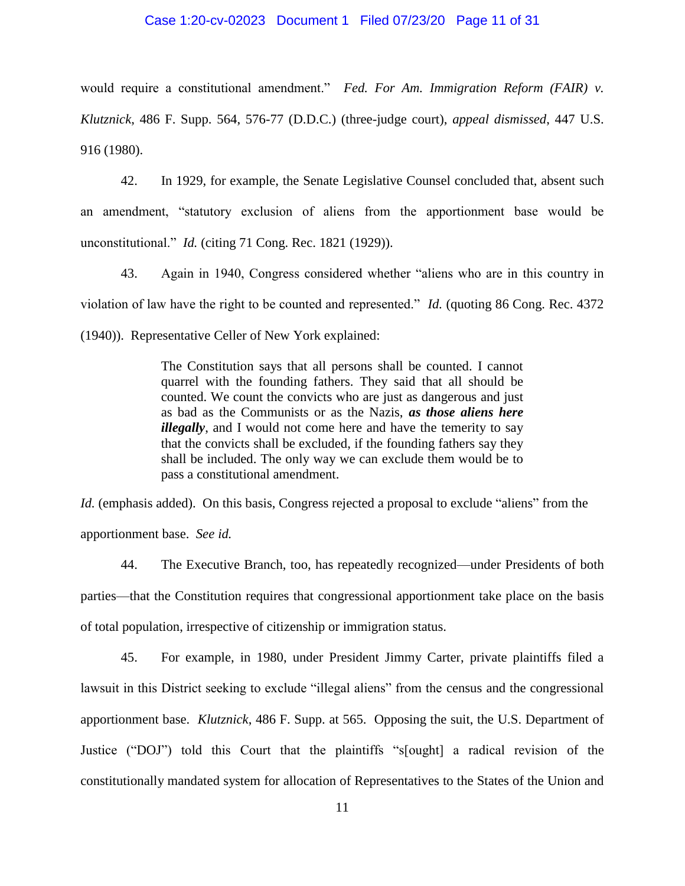#### Case 1:20-cv-02023 Document 1 Filed 07/23/20 Page 11 of 31

would require a constitutional amendment." *Fed. For Am. Immigration Reform (FAIR) v. Klutznick*, 486 F. Supp. 564, 576-77 (D.D.C.) (three-judge court), *appeal dismissed*, 447 U.S. 916 (1980).

42. In 1929, for example, the Senate Legislative Counsel concluded that, absent such an amendment, "statutory exclusion of aliens from the apportionment base would be unconstitutional." *Id.* (citing 71 Cong. Rec. 1821 (1929)).

43. Again in 1940, Congress considered whether "aliens who are in this country in violation of law have the right to be counted and represented." *Id.* (quoting 86 Cong. Rec. 4372 (1940)). Representative Celler of New York explained:

> The Constitution says that all persons shall be counted. I cannot quarrel with the founding fathers. They said that all should be counted. We count the convicts who are just as dangerous and just as bad as the Communists or as the Nazis, *as those aliens here illegally*, and I would not come here and have the temerity to say that the convicts shall be excluded, if the founding fathers say they shall be included. The only way we can exclude them would be to pass a constitutional amendment.

*Id.* (emphasis added). On this basis, Congress rejected a proposal to exclude "aliens" from the apportionment base. *See id.*

44. The Executive Branch, too, has repeatedly recognized—under Presidents of both parties—that the Constitution requires that congressional apportionment take place on the basis of total population, irrespective of citizenship or immigration status.

45. For example, in 1980, under President Jimmy Carter, private plaintiffs filed a lawsuit in this District seeking to exclude "illegal aliens" from the census and the congressional apportionment base. *Klutznick*, 486 F. Supp. at 565. Opposing the suit, the U.S. Department of Justice ("DOJ") told this Court that the plaintiffs "s[ought] a radical revision of the constitutionally mandated system for allocation of Representatives to the States of the Union and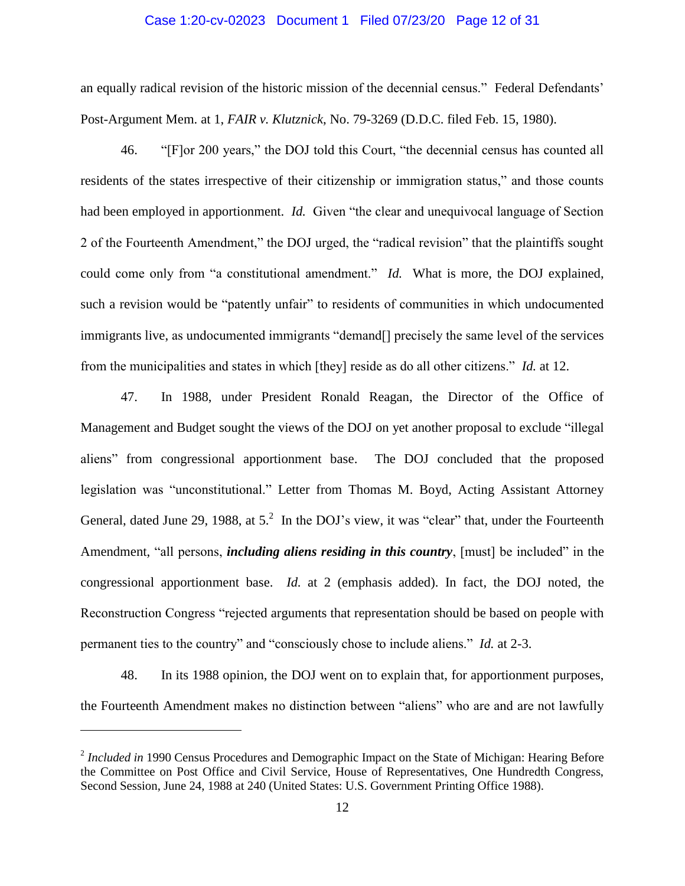#### Case 1:20-cv-02023 Document 1 Filed 07/23/20 Page 12 of 31

an equally radical revision of the historic mission of the decennial census." Federal Defendants' Post-Argument Mem. at 1, *FAIR v. Klutznick*, No. 79-3269 (D.D.C. filed Feb. 15, 1980).

46. "[F]or 200 years," the DOJ told this Court, "the decennial census has counted all residents of the states irrespective of their citizenship or immigration status," and those counts had been employed in apportionment. *Id.* Given "the clear and unequivocal language of Section 2 of the Fourteenth Amendment," the DOJ urged, the "radical revision" that the plaintiffs sought could come only from "a constitutional amendment." *Id.* What is more, the DOJ explained, such a revision would be "patently unfair" to residents of communities in which undocumented immigrants live, as undocumented immigrants "demand[] precisely the same level of the services from the municipalities and states in which [they] reside as do all other citizens." *Id.* at 12.

47. In 1988, under President Ronald Reagan, the Director of the Office of Management and Budget sought the views of the DOJ on yet another proposal to exclude "illegal aliens" from congressional apportionment base. The DOJ concluded that the proposed legislation was "unconstitutional." Letter from Thomas M. Boyd, Acting Assistant Attorney General, dated June 29, 1988, at  $5<sup>2</sup>$  In the DOJ's view, it was "clear" that, under the Fourteenth Amendment, "all persons, *including aliens residing in this country*, [must] be included" in the congressional apportionment base. *Id.* at 2 (emphasis added). In fact, the DOJ noted, the Reconstruction Congress "rejected arguments that representation should be based on people with permanent ties to the country" and "consciously chose to include aliens." *Id.* at 2-3.

48. In its 1988 opinion, the DOJ went on to explain that, for apportionment purposes, the Fourteenth Amendment makes no distinction between "aliens" who are and are not lawfully

<sup>&</sup>lt;sup>2</sup> Included in 1990 Census Procedures and Demographic Impact on the State of Michigan: Hearing Before the Committee on Post Office and Civil Service, House of Representatives, One Hundredth Congress, Second Session, June 24, 1988 at 240 (United States: U.S. Government Printing Office 1988).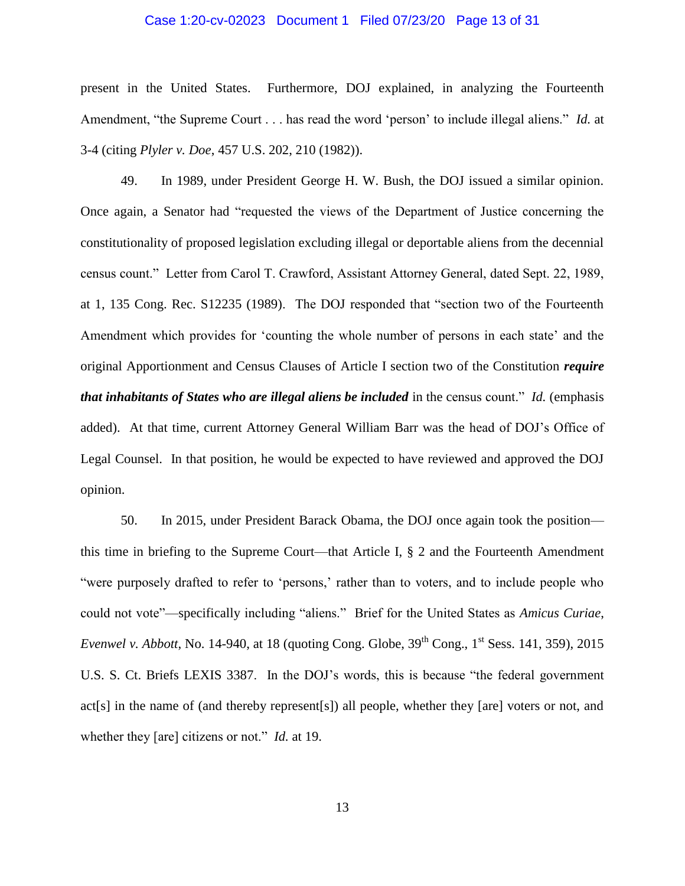#### Case 1:20-cv-02023 Document 1 Filed 07/23/20 Page 13 of 31

present in the United States. Furthermore, DOJ explained, in analyzing the Fourteenth Amendment, "the Supreme Court . . . has read the word 'person' to include illegal aliens." *Id.* at 3-4 (citing *Plyler v. Doe*, 457 U.S. 202, 210 (1982)).

49. In 1989, under President George H. W. Bush, the DOJ issued a similar opinion. Once again, a Senator had "requested the views of the Department of Justice concerning the constitutionality of proposed legislation excluding illegal or deportable aliens from the decennial census count." Letter from Carol T. Crawford, Assistant Attorney General, dated Sept. 22, 1989, at 1, 135 Cong. Rec. S12235 (1989). The DOJ responded that "section two of the Fourteenth Amendment which provides for 'counting the whole number of persons in each state' and the original Apportionment and Census Clauses of Article I section two of the Constitution *require that inhabitants of States who are illegal aliens be included* in the census count." *Id.* (emphasis added). At that time, current Attorney General William Barr was the head of DOJ's Office of Legal Counsel. In that position, he would be expected to have reviewed and approved the DOJ opinion.

50. In 2015, under President Barack Obama, the DOJ once again took the position this time in briefing to the Supreme Court—that Article I, § 2 and the Fourteenth Amendment "were purposely drafted to refer to 'persons,' rather than to voters, and to include people who could not vote"—specifically including "aliens." Brief for the United States as *Amicus Curiae*, *Evenwel v. Abbott*, No. 14-940, at 18 (quoting Cong. Globe, 39<sup>th</sup> Cong., 1<sup>st</sup> Sess. 141, 359), 2015 U.S. S. Ct. Briefs LEXIS 3387. In the DOJ's words, this is because "the federal government act[s] in the name of (and thereby represent[s]) all people, whether they [are] voters or not, and whether they [are] citizens or not." *Id.* at 19.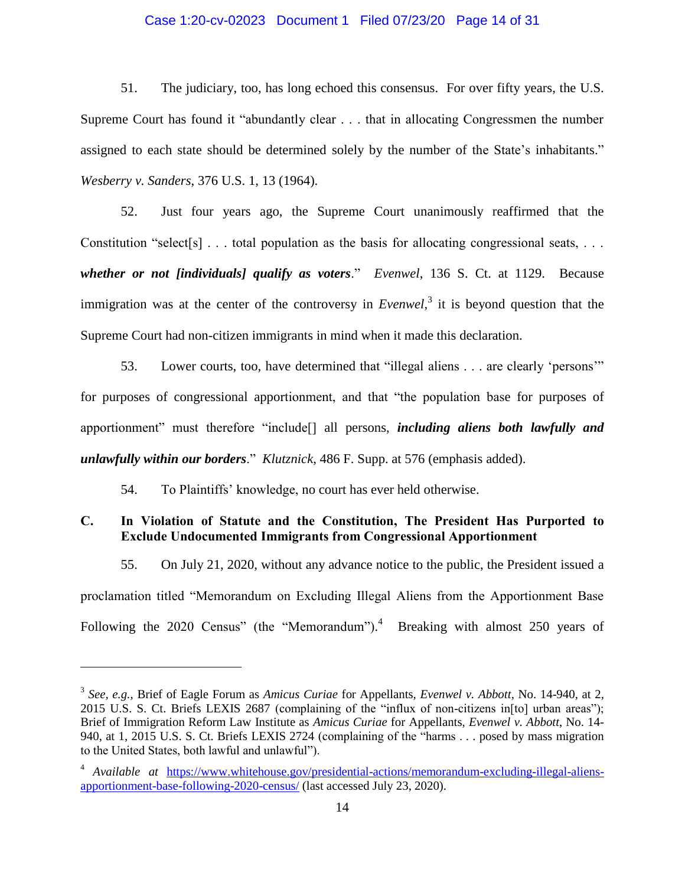#### Case 1:20-cv-02023 Document 1 Filed 07/23/20 Page 14 of 31

51. The judiciary, too, has long echoed this consensus. For over fifty years, the U.S. Supreme Court has found it "abundantly clear . . . that in allocating Congressmen the number assigned to each state should be determined solely by the number of the State's inhabitants." *Wesberry v. Sanders*, 376 U.S. 1, 13 (1964).

52. Just four years ago, the Supreme Court unanimously reaffirmed that the Constitution "select[s]  $\ldots$  total population as the basis for allocating congressional seats,  $\ldots$ *whether or not [individuals] qualify as voters*." *Evenwel*, 136 S. Ct. at 1129. Because immigration was at the center of the controversy in *Evenwel*, 3 it is beyond question that the Supreme Court had non-citizen immigrants in mind when it made this declaration.

53. Lower courts, too, have determined that "illegal aliens . . . are clearly 'persons'" for purposes of congressional apportionment, and that "the population base for purposes of apportionment" must therefore "include[] all persons, *including aliens both lawfully and unlawfully within our borders*." *Klutznick*, 486 F. Supp. at 576 (emphasis added).

54. To Plaintiffs' knowledge, no court has ever held otherwise.

 $\overline{a}$ 

### **C. In Violation of Statute and the Constitution, The President Has Purported to Exclude Undocumented Immigrants from Congressional Apportionment**

55. On July 21, 2020, without any advance notice to the public, the President issued a proclamation titled "Memorandum on Excluding Illegal Aliens from the Apportionment Base Following the 2020 Census" (the "Memorandum").<sup>4</sup> Breaking with almost 250 years of

<sup>3</sup> *See, e.g.*, Brief of Eagle Forum as *Amicus Curiae* for Appellants, *Evenwel v. Abbott*, No. 14-940, at 2, 2015 U.S. S. Ct. Briefs LEXIS 2687 (complaining of the "influx of non-citizens in[to] urban areas"); Brief of Immigration Reform Law Institute as *Amicus Curiae* for Appellants, *Evenwel v. Abbott*, No. 14- 940, at 1, 2015 U.S. S. Ct. Briefs LEXIS 2724 (complaining of the "harms . . . posed by mass migration to the United States, both lawful and unlawful").

<sup>4</sup> *Available at* [https://www.whitehouse.gov/presidential-actions/memorandum-excluding-illegal-aliens](https://www.whitehouse.gov/presidential-actions/memorandum-excluding-illegal-aliens-apportionment-base-following-2020-census/)[apportionment-base-following-2020-census/](https://www.whitehouse.gov/presidential-actions/memorandum-excluding-illegal-aliens-apportionment-base-following-2020-census/) (last accessed July 23, 2020).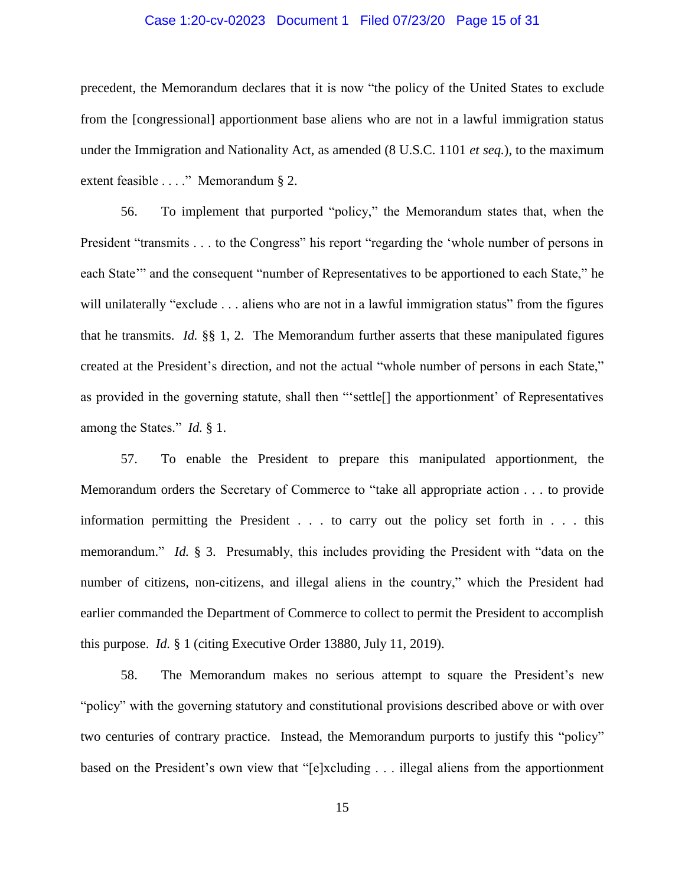#### Case 1:20-cv-02023 Document 1 Filed 07/23/20 Page 15 of 31

precedent, the Memorandum declares that it is now "the policy of the United States to exclude from the [congressional] apportionment base aliens who are not in a lawful immigration status under the Immigration and Nationality Act, as amended (8 U.S.C. 1101 *et seq.*), to the maximum extent feasible . . . ." Memorandum § 2.

56. To implement that purported "policy," the Memorandum states that, when the President "transmits . . . to the Congress" his report "regarding the 'whole number of persons in each State'" and the consequent "number of Representatives to be apportioned to each State," he will unilaterally "exclude . . . aliens who are not in a lawful immigration status" from the figures that he transmits. *Id.* §§ 1, 2. The Memorandum further asserts that these manipulated figures created at the President's direction, and not the actual "whole number of persons in each State," as provided in the governing statute, shall then "'settle[] the apportionment' of Representatives among the States." *Id.* § 1.

57. To enable the President to prepare this manipulated apportionment, the Memorandum orders the Secretary of Commerce to "take all appropriate action . . . to provide information permitting the President . . . to carry out the policy set forth in . . . this memorandum." *Id.* § 3. Presumably, this includes providing the President with "data on the number of citizens, non-citizens, and illegal aliens in the country," which the President had earlier commanded the Department of Commerce to collect to permit the President to accomplish this purpose. *Id.* § 1 (citing Executive Order 13880, July 11, 2019).

58. The Memorandum makes no serious attempt to square the President's new "policy" with the governing statutory and constitutional provisions described above or with over two centuries of contrary practice. Instead, the Memorandum purports to justify this "policy" based on the President's own view that "[e]xcluding . . . illegal aliens from the apportionment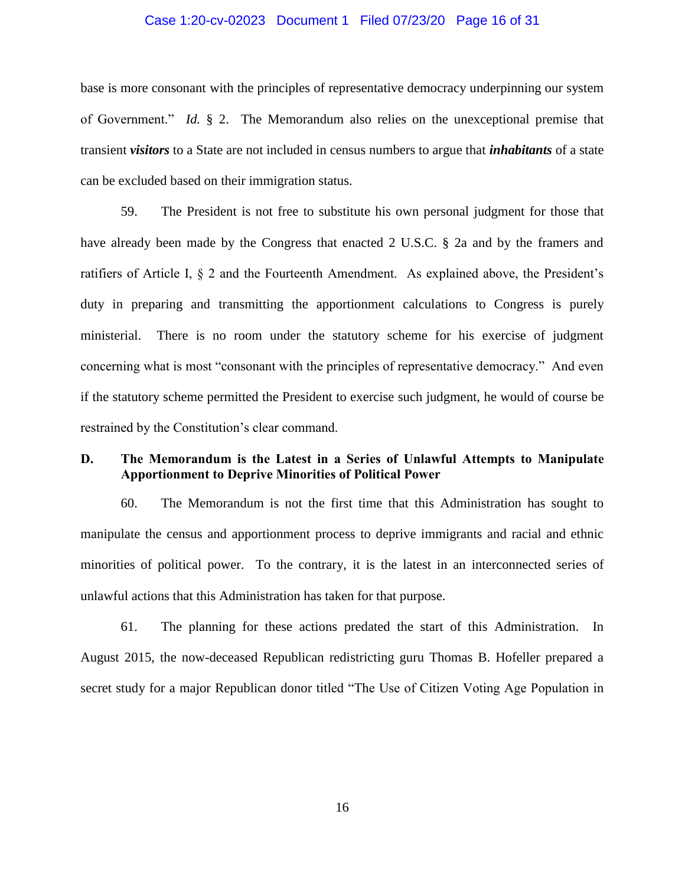#### Case 1:20-cv-02023 Document 1 Filed 07/23/20 Page 16 of 31

base is more consonant with the principles of representative democracy underpinning our system of Government." *Id.* § 2. The Memorandum also relies on the unexceptional premise that transient *visitors* to a State are not included in census numbers to argue that *inhabitants* of a state can be excluded based on their immigration status.

59. The President is not free to substitute his own personal judgment for those that have already been made by the Congress that enacted 2 U.S.C. § 2a and by the framers and ratifiers of Article I, § 2 and the Fourteenth Amendment. As explained above, the President's duty in preparing and transmitting the apportionment calculations to Congress is purely ministerial. There is no room under the statutory scheme for his exercise of judgment concerning what is most "consonant with the principles of representative democracy." And even if the statutory scheme permitted the President to exercise such judgment, he would of course be restrained by the Constitution's clear command.

### **D. The Memorandum is the Latest in a Series of Unlawful Attempts to Manipulate Apportionment to Deprive Minorities of Political Power**

60. The Memorandum is not the first time that this Administration has sought to manipulate the census and apportionment process to deprive immigrants and racial and ethnic minorities of political power. To the contrary, it is the latest in an interconnected series of unlawful actions that this Administration has taken for that purpose.

61. The planning for these actions predated the start of this Administration. In August 2015, the now-deceased Republican redistricting guru Thomas B. Hofeller prepared a secret study for a major Republican donor titled "The Use of Citizen Voting Age Population in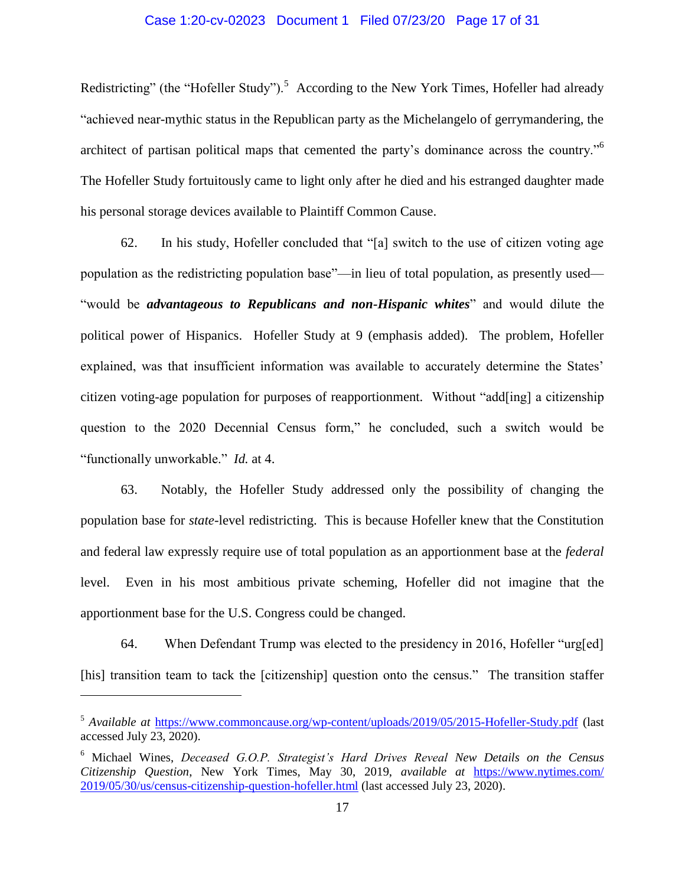#### Case 1:20-cv-02023 Document 1 Filed 07/23/20 Page 17 of 31

Redistricting" (the "Hofeller Study").<sup>5</sup> According to the New York Times, Hofeller had already "achieved near-mythic status in the Republican party as the Michelangelo of gerrymandering, the architect of partisan political maps that cemented the party's dominance across the country."<sup>6</sup> The Hofeller Study fortuitously came to light only after he died and his estranged daughter made his personal storage devices available to Plaintiff Common Cause.

62. In his study, Hofeller concluded that "[a] switch to the use of citizen voting age population as the redistricting population base"—in lieu of total population, as presently used— "would be *advantageous to Republicans and non-Hispanic whites*" and would dilute the political power of Hispanics. Hofeller Study at 9 (emphasis added). The problem, Hofeller explained, was that insufficient information was available to accurately determine the States' citizen voting-age population for purposes of reapportionment. Without "add[ing] a citizenship question to the 2020 Decennial Census form," he concluded, such a switch would be "functionally unworkable." *Id.* at 4.

63. Notably, the Hofeller Study addressed only the possibility of changing the population base for *state-*level redistricting. This is because Hofeller knew that the Constitution and federal law expressly require use of total population as an apportionment base at the *federal*  level. Even in his most ambitious private scheming, Hofeller did not imagine that the apportionment base for the U.S. Congress could be changed.

64. When Defendant Trump was elected to the presidency in 2016, Hofeller "urg[ed] [his] transition team to tack the [citizenship] question onto the census." The transition staffer

<sup>5</sup> *Available at* <https://www.commoncause.org/wp-content/uploads/2019/05/2015-Hofeller-Study.pdf> (last accessed July 23, 2020).

<sup>6</sup> Michael Wines, *Deceased G.O.P. Strategist's Hard Drives Reveal New Details on the Census Citizenship Question*, New York Times, May 30, 2019, *available at* [https://www.nytimes.com/](�� h t t p s : / / w w w . n y t i m e s . c o m / � "  2 0 1 9 / 0 5 / 3 0 / u s / c e n s u s - c i t i z e n s h i p - q u e s t i o n - h o f e l l e r . h t m l) [2019/05/30/us/census-citizenship-question-hofeller.html](�� h t t p s : / / w w w . n y t i m e s . c o m / � "  2 0 1 9 / 0 5 / 3 0 / u s / c e n s u s - c i t i z e n s h i p - q u e s t i o n - h o f e l l e r . h t m l) (last accessed July 23, 2020).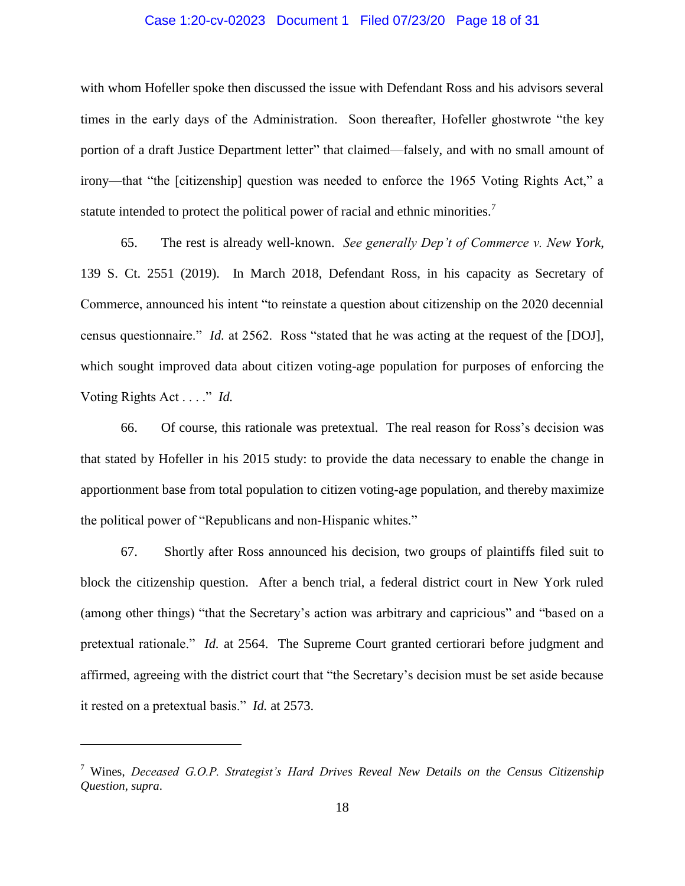#### Case 1:20-cv-02023 Document 1 Filed 07/23/20 Page 18 of 31

with whom Hofeller spoke then discussed the issue with Defendant Ross and his advisors several times in the early days of the Administration. Soon thereafter, Hofeller ghostwrote "the key portion of a draft Justice Department letter" that claimed—falsely, and with no small amount of irony—that "the [citizenship] question was needed to enforce the 1965 Voting Rights Act," a statute intended to protect the political power of racial and ethnic minorities.<sup>7</sup>

65. The rest is already well-known. *See generally Dep't of Commerce v. New York*, 139 S. Ct. 2551 (2019). In March 2018, Defendant Ross, in his capacity as Secretary of Commerce, announced his intent "to reinstate a question about citizenship on the 2020 decennial census questionnaire." *Id.* at 2562. Ross "stated that he was acting at the request of the [DOJ], which sought improved data about citizen voting-age population for purposes of enforcing the Voting Rights Act . . . ." *Id.*

66. Of course, this rationale was pretextual. The real reason for Ross's decision was that stated by Hofeller in his 2015 study: to provide the data necessary to enable the change in apportionment base from total population to citizen voting-age population, and thereby maximize the political power of "Republicans and non-Hispanic whites."

67. Shortly after Ross announced his decision, two groups of plaintiffs filed suit to block the citizenship question. After a bench trial, a federal district court in New York ruled (among other things) "that the Secretary's action was arbitrary and capricious" and "based on a pretextual rationale." *Id.* at 2564. The Supreme Court granted certiorari before judgment and affirmed, agreeing with the district court that "the Secretary's decision must be set aside because it rested on a pretextual basis." *Id.* at 2573.

<sup>7</sup> Wines, *Deceased G.O.P. Strategist's Hard Drives Reveal New Details on the Census Citizenship Question*, *supra*.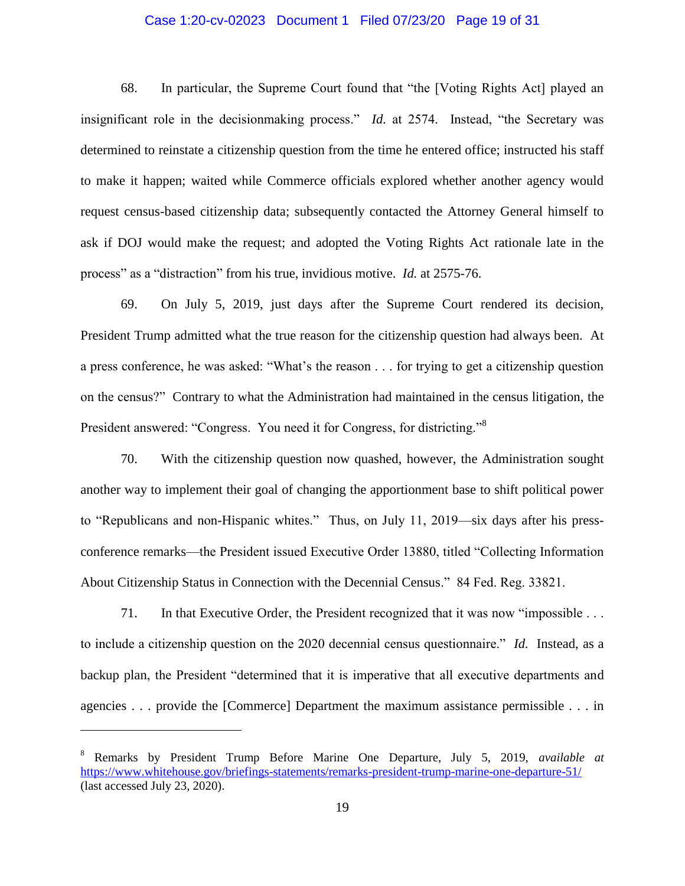#### Case 1:20-cv-02023 Document 1 Filed 07/23/20 Page 19 of 31

68. In particular, the Supreme Court found that "the [Voting Rights Act] played an insignificant role in the decisionmaking process." *Id.* at 2574. Instead, "the Secretary was determined to reinstate a citizenship question from the time he entered office; instructed his staff to make it happen; waited while Commerce officials explored whether another agency would request census-based citizenship data; subsequently contacted the Attorney General himself to ask if DOJ would make the request; and adopted the Voting Rights Act rationale late in the process" as a "distraction" from his true, invidious motive. *Id.* at 2575-76.

69. On July 5, 2019, just days after the Supreme Court rendered its decision, President Trump admitted what the true reason for the citizenship question had always been. At a press conference, he was asked: "What's the reason . . . for trying to get a citizenship question on the census?" Contrary to what the Administration had maintained in the census litigation, the President answered: "Congress. You need it for Congress, for districting."<sup>8</sup>

70. With the citizenship question now quashed, however, the Administration sought another way to implement their goal of changing the apportionment base to shift political power to "Republicans and non-Hispanic whites." Thus, on July 11, 2019—six days after his pressconference remarks—the President issued Executive Order 13880, titled "Collecting Information About Citizenship Status in Connection with the Decennial Census." 84 Fed. Reg. 33821.

71. In that Executive Order, the President recognized that it was now "impossible . . . to include a citizenship question on the 2020 decennial census questionnaire." *Id.* Instead, as a backup plan, the President "determined that it is imperative that all executive departments and agencies . . . provide the [Commerce] Department the maximum assistance permissible . . . in

<sup>8</sup> Remarks by President Trump Before Marine One Departure, July 5, 2019, *available at*  <https://www.whitehouse.gov/briefings-statements/remarks-president-trump-marine-one-departure-51/> (last accessed July 23, 2020).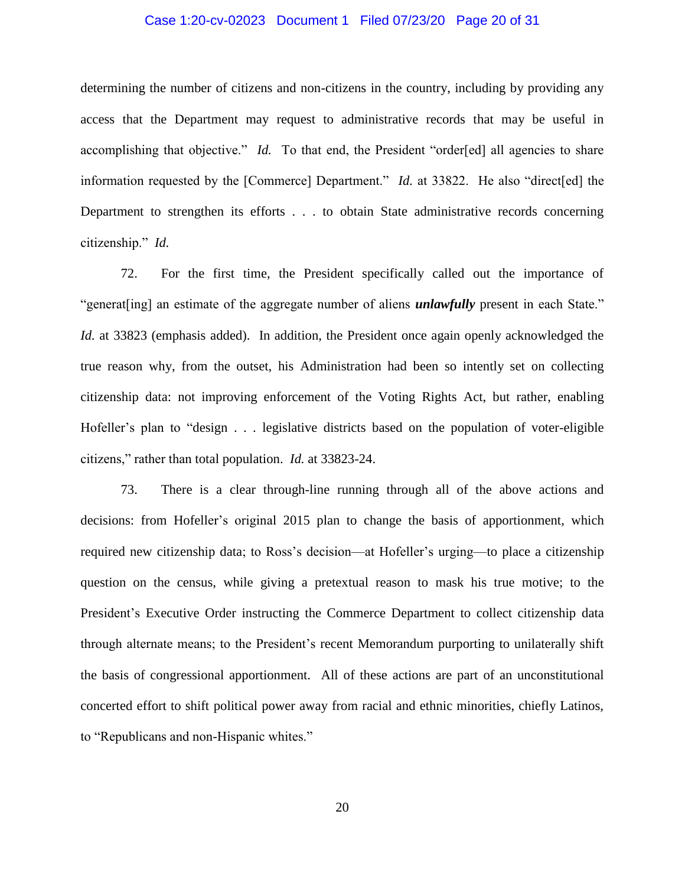#### Case 1:20-cv-02023 Document 1 Filed 07/23/20 Page 20 of 31

determining the number of citizens and non-citizens in the country, including by providing any access that the Department may request to administrative records that may be useful in accomplishing that objective." *Id.* To that end, the President "order[ed] all agencies to share information requested by the [Commerce] Department." *Id.* at 33822. He also "direct[ed] the Department to strengthen its efforts . . . to obtain State administrative records concerning citizenship." *Id.*

72. For the first time, the President specifically called out the importance of "generat[ing] an estimate of the aggregate number of aliens *unlawfully* present in each State." *Id.* at 33823 (emphasis added). In addition, the President once again openly acknowledged the true reason why, from the outset, his Administration had been so intently set on collecting citizenship data: not improving enforcement of the Voting Rights Act, but rather, enabling Hofeller's plan to "design . . . legislative districts based on the population of voter-eligible citizens," rather than total population. *Id.* at 33823-24.

73. There is a clear through-line running through all of the above actions and decisions: from Hofeller's original 2015 plan to change the basis of apportionment, which required new citizenship data; to Ross's decision—at Hofeller's urging—to place a citizenship question on the census, while giving a pretextual reason to mask his true motive; to the President's Executive Order instructing the Commerce Department to collect citizenship data through alternate means; to the President's recent Memorandum purporting to unilaterally shift the basis of congressional apportionment. All of these actions are part of an unconstitutional concerted effort to shift political power away from racial and ethnic minorities, chiefly Latinos, to "Republicans and non-Hispanic whites."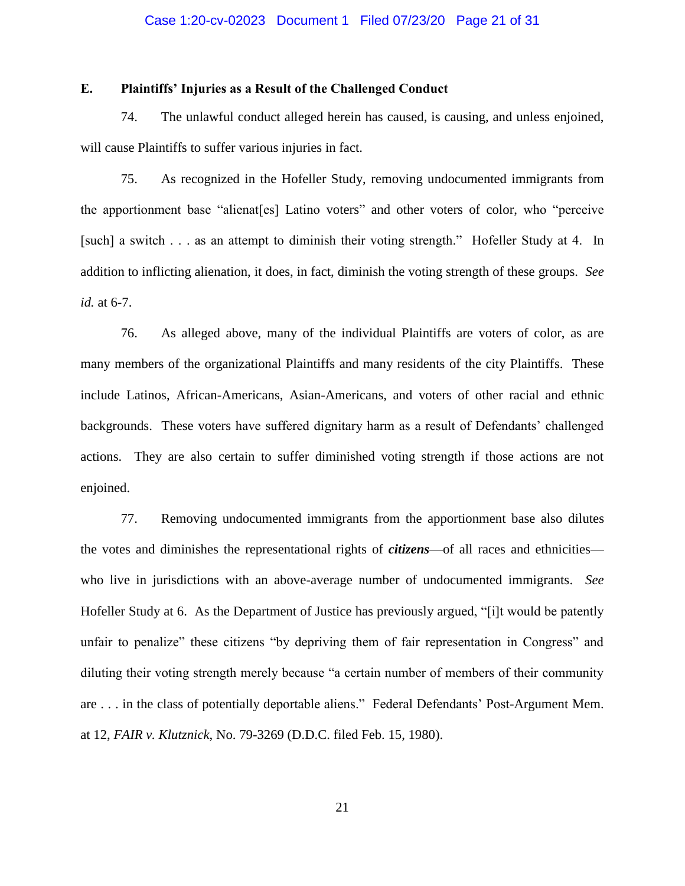#### Case 1:20-cv-02023 Document 1 Filed 07/23/20 Page 21 of 31

### **E. Plaintiffs' Injuries as a Result of the Challenged Conduct**

74. The unlawful conduct alleged herein has caused, is causing, and unless enjoined, will cause Plaintiffs to suffer various injuries in fact.

75. As recognized in the Hofeller Study, removing undocumented immigrants from the apportionment base "alienat[es] Latino voters" and other voters of color, who "perceive [such] a switch . . . as an attempt to diminish their voting strength." Hofeller Study at 4. In addition to inflicting alienation, it does, in fact, diminish the voting strength of these groups. *See id.* at 6-7.

76. As alleged above, many of the individual Plaintiffs are voters of color, as are many members of the organizational Plaintiffs and many residents of the city Plaintiffs. These include Latinos, African-Americans, Asian-Americans, and voters of other racial and ethnic backgrounds. These voters have suffered dignitary harm as a result of Defendants' challenged actions. They are also certain to suffer diminished voting strength if those actions are not enjoined.

77. Removing undocumented immigrants from the apportionment base also dilutes the votes and diminishes the representational rights of *citizens*—of all races and ethnicities who live in jurisdictions with an above-average number of undocumented immigrants. *See*  Hofeller Study at 6. As the Department of Justice has previously argued, "[i]t would be patently unfair to penalize" these citizens "by depriving them of fair representation in Congress" and diluting their voting strength merely because "a certain number of members of their community are . . . in the class of potentially deportable aliens." Federal Defendants' Post-Argument Mem. at 12, *FAIR v. Klutznick*, No. 79-3269 (D.D.C. filed Feb. 15, 1980).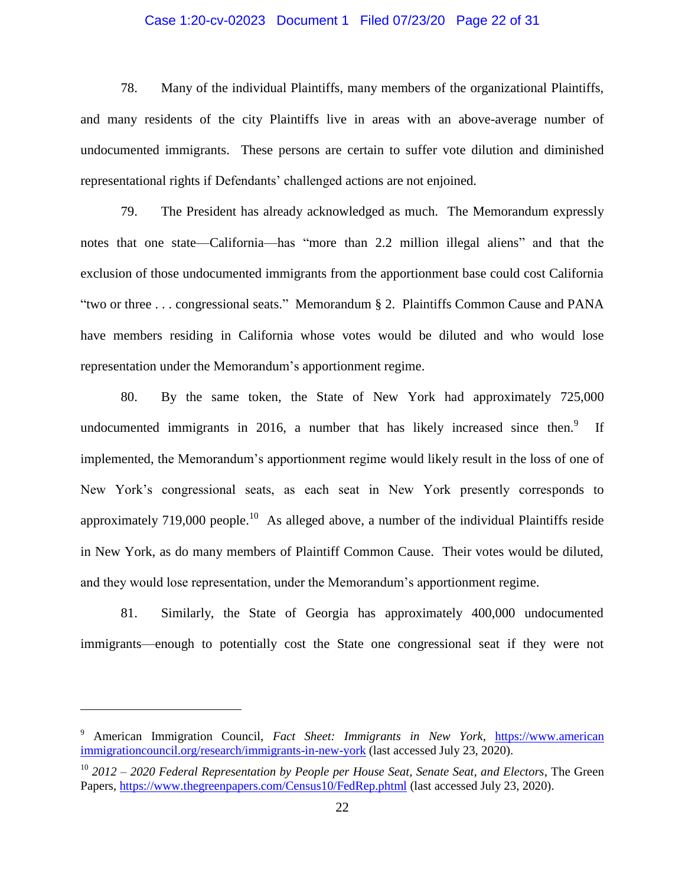#### Case 1:20-cv-02023 Document 1 Filed 07/23/20 Page 22 of 31

78. Many of the individual Plaintiffs, many members of the organizational Plaintiffs, and many residents of the city Plaintiffs live in areas with an above-average number of undocumented immigrants. These persons are certain to suffer vote dilution and diminished representational rights if Defendants' challenged actions are not enjoined.

79. The President has already acknowledged as much. The Memorandum expressly notes that one state—California—has "more than 2.2 million illegal aliens" and that the exclusion of those undocumented immigrants from the apportionment base could cost California "two or three . . . congressional seats." Memorandum § 2. Plaintiffs Common Cause and PANA have members residing in California whose votes would be diluted and who would lose representation under the Memorandum's apportionment regime.

80. By the same token, the State of New York had approximately 725,000 undocumented immigrants in 2016, a number that has likely increased since then.<sup>9</sup> If implemented, the Memorandum's apportionment regime would likely result in the loss of one of New York's congressional seats, as each seat in New York presently corresponds to approximately 719,000 people.<sup>10</sup> As alleged above, a number of the individual Plaintiffs reside in New York, as do many members of Plaintiff Common Cause. Their votes would be diluted, and they would lose representation, under the Memorandum's apportionment regime.

81. Similarly, the State of Georgia has approximately 400,000 undocumented immigrants—enough to potentially cost the State one congressional seat if they were not

<sup>9</sup> American Immigration Council, *Fact Sheet: Immigrants in New York*, [https://www.american](https://www.americanimmigrationcouncil.org/research/immigrants-in-new-york) [immigrationcouncil.org/research/immigrants-in-new-york](https://www.americanimmigrationcouncil.org/research/immigrants-in-new-york) (last accessed July 23, 2020).

<sup>10</sup> *2012 – 2020 Federal Representation by People per House Seat, Senate Seat, and Electors*, The Green Papers,<https://www.thegreenpapers.com/Census10/FedRep.phtml> (last accessed July 23, 2020).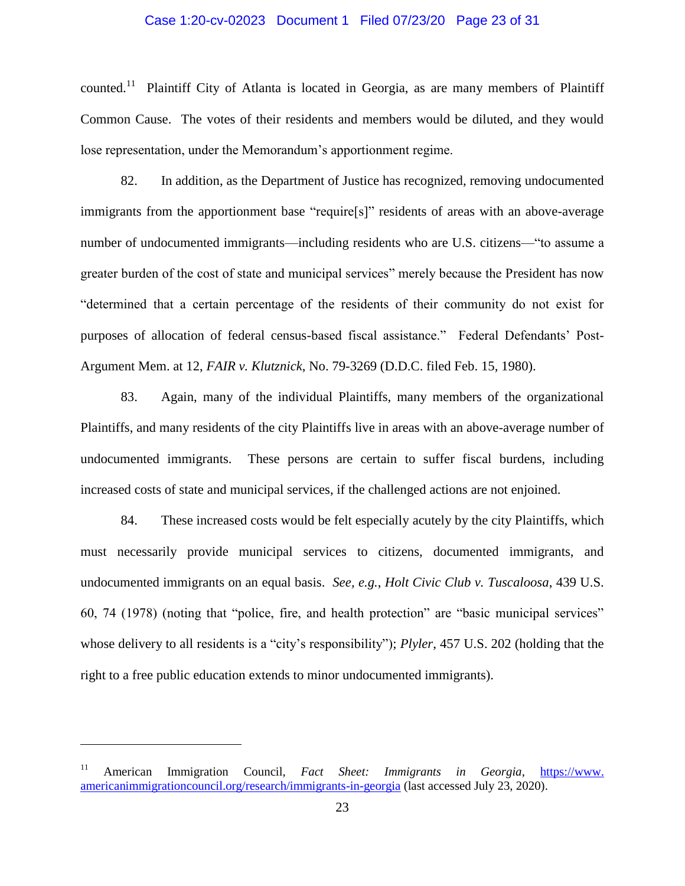#### Case 1:20-cv-02023 Document 1 Filed 07/23/20 Page 23 of 31

counted.<sup>11</sup> Plaintiff City of Atlanta is located in Georgia, as are many members of Plaintiff Common Cause. The votes of their residents and members would be diluted, and they would lose representation, under the Memorandum's apportionment regime.

82. In addition, as the Department of Justice has recognized, removing undocumented immigrants from the apportionment base "require[s]" residents of areas with an above-average number of undocumented immigrants—including residents who are U.S. citizens—"to assume a greater burden of the cost of state and municipal services" merely because the President has now "determined that a certain percentage of the residents of their community do not exist for purposes of allocation of federal census-based fiscal assistance." Federal Defendants' Post-Argument Mem. at 12, *FAIR v. Klutznick*, No. 79-3269 (D.D.C. filed Feb. 15, 1980).

83. Again, many of the individual Plaintiffs, many members of the organizational Plaintiffs, and many residents of the city Plaintiffs live in areas with an above-average number of undocumented immigrants. These persons are certain to suffer fiscal burdens, including increased costs of state and municipal services, if the challenged actions are not enjoined.

84. These increased costs would be felt especially acutely by the city Plaintiffs, which must necessarily provide municipal services to citizens, documented immigrants, and undocumented immigrants on an equal basis. *See, e.g.*, *Holt Civic Club v. Tuscaloosa*, 439 U.S. 60, 74 (1978) (noting that "police, fire, and health protection" are "basic municipal services" whose delivery to all residents is a "city's responsibility"); *Plyler*, 457 U.S. 202 (holding that the right to a free public education extends to minor undocumented immigrants).

<sup>11</sup> American Immigration Council, *Fact Sheet: Immigrants in Georgia*, [https://www.](https://www.americanimmigrationcouncil.org/research/immigrants-in-georgia) [americanimmigrationcouncil.org/research/immigrants-in-georgia](https://www.americanimmigrationcouncil.org/research/immigrants-in-georgia) (last accessed July 23, 2020).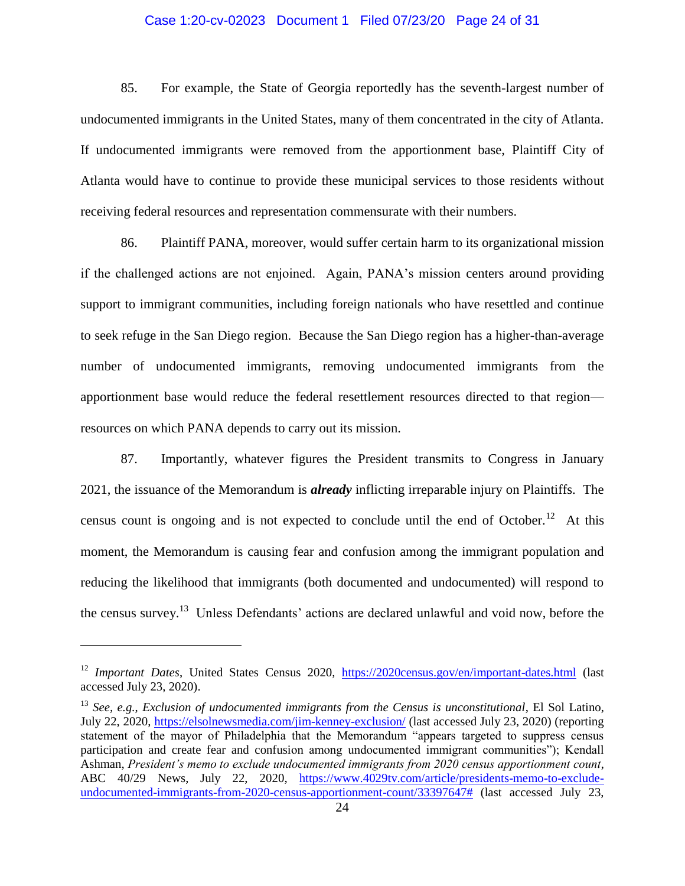#### Case 1:20-cv-02023 Document 1 Filed 07/23/20 Page 24 of 31

85. For example, the State of Georgia reportedly has the seventh-largest number of undocumented immigrants in the United States, many of them concentrated in the city of Atlanta. If undocumented immigrants were removed from the apportionment base, Plaintiff City of Atlanta would have to continue to provide these municipal services to those residents without receiving federal resources and representation commensurate with their numbers.

86. Plaintiff PANA, moreover, would suffer certain harm to its organizational mission if the challenged actions are not enjoined. Again, PANA's mission centers around providing support to immigrant communities, including foreign nationals who have resettled and continue to seek refuge in the San Diego region. Because the San Diego region has a higher-than-average number of undocumented immigrants, removing undocumented immigrants from the apportionment base would reduce the federal resettlement resources directed to that region resources on which PANA depends to carry out its mission.

87. Importantly, whatever figures the President transmits to Congress in January 2021, the issuance of the Memorandum is *already* inflicting irreparable injury on Plaintiffs. The census count is ongoing and is not expected to conclude until the end of October.<sup>12</sup> At this moment, the Memorandum is causing fear and confusion among the immigrant population and reducing the likelihood that immigrants (both documented and undocumented) will respond to the census survey.<sup>13</sup> Unless Defendants' actions are declared unlawful and void now, before the

<sup>&</sup>lt;sup>12</sup> *Important Dates*, United States Census 2020, <https://2020census.gov/en/important-dates.html> (last accessed July 23, 2020).

<sup>13</sup> *See, e.g.*, *Exclusion of undocumented immigrants from the Census is unconstitutional*, El Sol Latino, July 22, 2020,<https://elsolnewsmedia.com/jim-kenney-exclusion/> (last accessed July 23, 2020) (reporting statement of the mayor of Philadelphia that the Memorandum "appears targeted to suppress census participation and create fear and confusion among undocumented immigrant communities"); Kendall Ashman, *President's memo to exclude undocumented immigrants from 2020 census apportionment count*, ABC 40/29 News, July 22, 2020, [https://www.4029tv.com/article/presidents-memo-to-exclude](https://www.4029tv.com/article/presidents-memo-to-exclude-undocumented-immigrants-from-2020-census-apportionment-count/33397647)[undocumented-immigrants-from-2020-census-apportionment-count/33397647#](https://www.4029tv.com/article/presidents-memo-to-exclude-undocumented-immigrants-from-2020-census-apportionment-count/33397647) (last accessed July 23,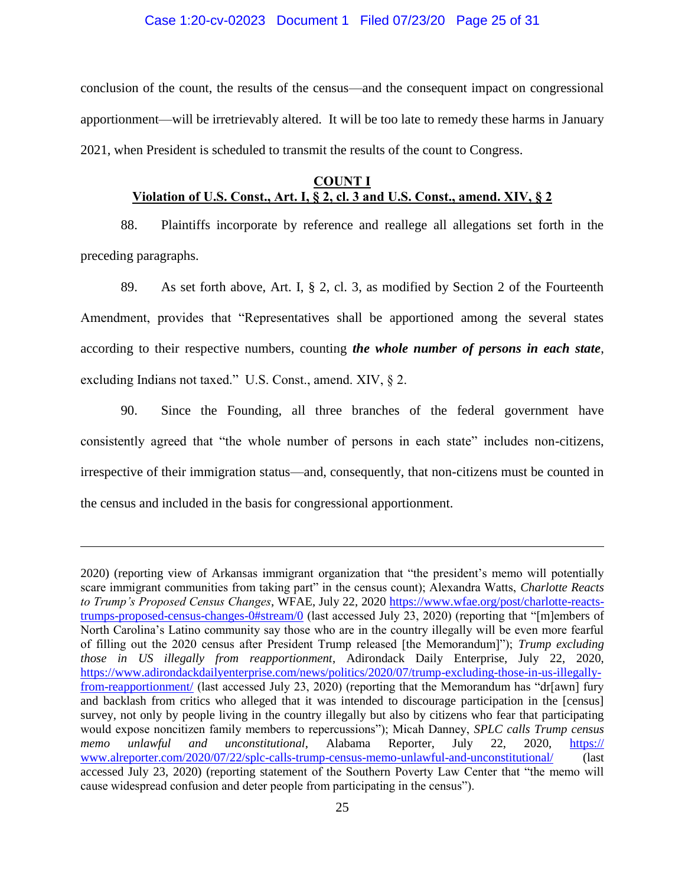#### Case 1:20-cv-02023 Document 1 Filed 07/23/20 Page 25 of 31

conclusion of the count, the results of the census—and the consequent impact on congressional apportionment—will be irretrievably altered. It will be too late to remedy these harms in January 2021, when President is scheduled to transmit the results of the count to Congress.

### **COUNT I Violation of U.S. Const., Art. I, § 2, cl. 3 and U.S. Const., amend. XIV, § 2**

88. Plaintiffs incorporate by reference and reallege all allegations set forth in the preceding paragraphs.

89. As set forth above, Art. I, § 2, cl. 3, as modified by Section 2 of the Fourteenth Amendment, provides that "Representatives shall be apportioned among the several states according to their respective numbers, counting *the whole number of persons in each state*, excluding Indians not taxed." U.S. Const., amend. XIV, § 2.

90. Since the Founding, all three branches of the federal government have consistently agreed that "the whole number of persons in each state" includes non-citizens, irrespective of their immigration status—and, consequently, that non-citizens must be counted in the census and included in the basis for congressional apportionment.

<sup>2020) (</sup>reporting view of Arkansas immigrant organization that "the president's memo will potentially scare immigrant communities from taking part" in the census count); Alexandra Watts, *Charlotte Reacts to Trump's Proposed Census Changes*, WFAE, July 22, 2020 [https://www.wfae.org/post/charlotte-reacts](https://www.wfae.org/post/charlotte-reacts-trumps-proposed-census-changes-0#stream/0)[trumps-proposed-census-changes-0#stream/0](https://www.wfae.org/post/charlotte-reacts-trumps-proposed-census-changes-0#stream/0) (last accessed July 23, 2020) (reporting that "[m]embers of North Carolina's Latino community say those who are in the country illegally will be even more fearful of filling out the 2020 census after President Trump released [the Memorandum]"); *Trump excluding those in US illegally from reapportionment*, Adirondack Daily Enterprise, July 22, 2020, [https://www.adirondackdailyenterprise.com/news/politics/2020/07/trump-excluding-those-in-us-illegally](https://www.adirondackdailyenterprise.com/news/politics/2020/07/trump-excluding-those-in-us-illegally-from-reapportionment/)[from-reapportionment/](https://www.adirondackdailyenterprise.com/news/politics/2020/07/trump-excluding-those-in-us-illegally-from-reapportionment/) (last accessed July 23, 2020) (reporting that the Memorandum has "dr[awn] fury and backlash from critics who alleged that it was intended to discourage participation in the [census] survey, not only by people living in the country illegally but also by citizens who fear that participating would expose noncitizen family members to repercussions"); Micah Danney, *SPLC calls Trump census memo unlawful and unconstitutional*, Alabama Reporter, July 22, 2020, https:// www.alreporter.com/2020/07/22/splc-calls-trump-census-memo-unlawful-and-unconstitutional/ (last accessed July 23, 2020) (reporting statement of the Southern Poverty Law Center that "the memo will cause widespread confusion and deter people from participating in the census").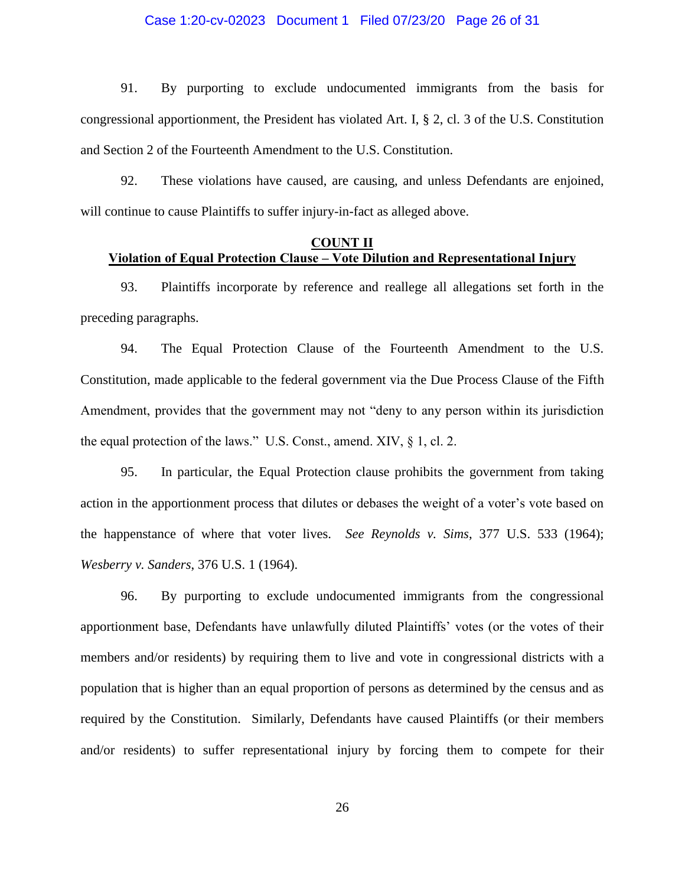#### Case 1:20-cv-02023 Document 1 Filed 07/23/20 Page 26 of 31

91. By purporting to exclude undocumented immigrants from the basis for congressional apportionment, the President has violated Art. I, § 2, cl. 3 of the U.S. Constitution and Section 2 of the Fourteenth Amendment to the U.S. Constitution.

92. These violations have caused, are causing, and unless Defendants are enjoined, will continue to cause Plaintiffs to suffer injury-in-fact as alleged above.

### **COUNT II Violation of Equal Protection Clause – Vote Dilution and Representational Injury**

93. Plaintiffs incorporate by reference and reallege all allegations set forth in the preceding paragraphs.

94. The Equal Protection Clause of the Fourteenth Amendment to the U.S. Constitution, made applicable to the federal government via the Due Process Clause of the Fifth Amendment, provides that the government may not "deny to any person within its jurisdiction the equal protection of the laws." U.S. Const., amend. XIV, § 1, cl. 2.

95. In particular, the Equal Protection clause prohibits the government from taking action in the apportionment process that dilutes or debases the weight of a voter's vote based on the happenstance of where that voter lives. *See Reynolds v. Sims*, 377 U.S. 533 (1964); *Wesberry v. Sanders*, 376 U.S. 1 (1964).

96. By purporting to exclude undocumented immigrants from the congressional apportionment base, Defendants have unlawfully diluted Plaintiffs' votes (or the votes of their members and/or residents) by requiring them to live and vote in congressional districts with a population that is higher than an equal proportion of persons as determined by the census and as required by the Constitution. Similarly, Defendants have caused Plaintiffs (or their members and/or residents) to suffer representational injury by forcing them to compete for their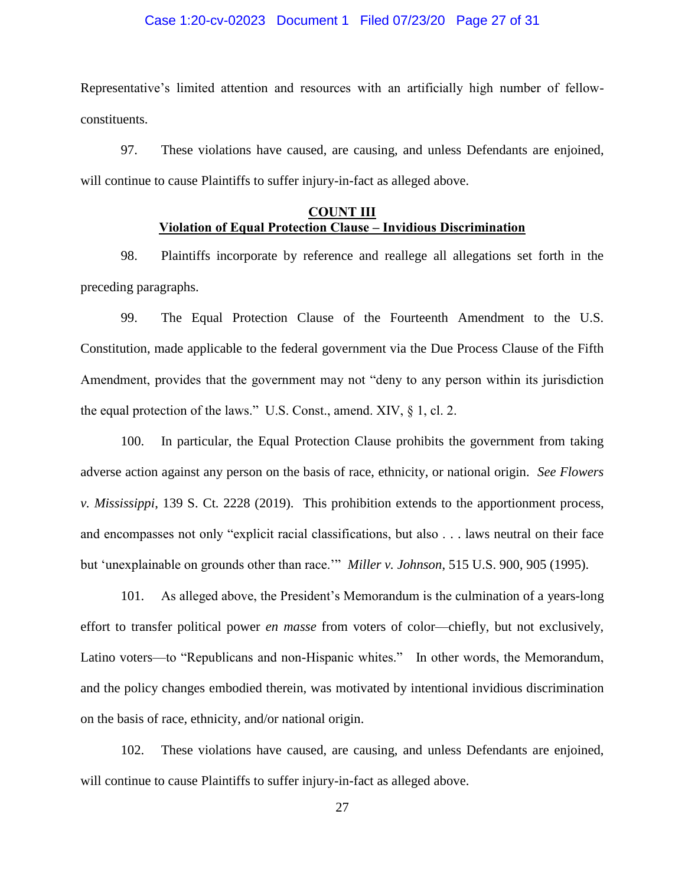#### Case 1:20-cv-02023 Document 1 Filed 07/23/20 Page 27 of 31

Representative's limited attention and resources with an artificially high number of fellowconstituents.

97. These violations have caused, are causing, and unless Defendants are enjoined, will continue to cause Plaintiffs to suffer injury-in-fact as alleged above.

### **COUNT III Violation of Equal Protection Clause – Invidious Discrimination**

98. Plaintiffs incorporate by reference and reallege all allegations set forth in the preceding paragraphs.

99. The Equal Protection Clause of the Fourteenth Amendment to the U.S. Constitution, made applicable to the federal government via the Due Process Clause of the Fifth Amendment, provides that the government may not "deny to any person within its jurisdiction the equal protection of the laws." U.S. Const., amend. XIV, § 1, cl. 2.

100. In particular, the Equal Protection Clause prohibits the government from taking adverse action against any person on the basis of race, ethnicity, or national origin. *See Flowers v. Mississippi*, 139 S. Ct. 2228 (2019). This prohibition extends to the apportionment process, and encompasses not only "explicit racial classifications, but also . . . laws neutral on their face but 'unexplainable on grounds other than race.'" *Miller v. Johnson*, 515 U.S. 900, 905 (1995).

101. As alleged above, the President's Memorandum is the culmination of a years-long effort to transfer political power *en masse* from voters of color—chiefly, but not exclusively, Latino voters—to "Republicans and non-Hispanic whites." In other words, the Memorandum, and the policy changes embodied therein, was motivated by intentional invidious discrimination on the basis of race, ethnicity, and/or national origin.

102. These violations have caused, are causing, and unless Defendants are enjoined, will continue to cause Plaintiffs to suffer injury-in-fact as alleged above.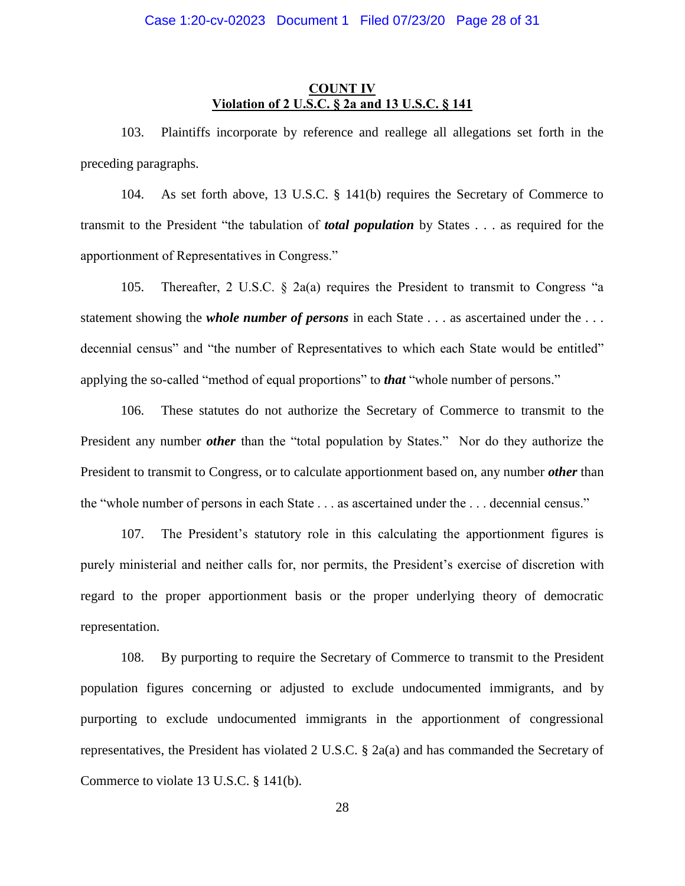### **COUNT IV Violation of 2 U.S.C. § 2a and 13 U.S.C. § 141**

103. Plaintiffs incorporate by reference and reallege all allegations set forth in the preceding paragraphs.

104. As set forth above, 13 U.S.C. § 141(b) requires the Secretary of Commerce to transmit to the President "the tabulation of *total population* by States . . . as required for the apportionment of Representatives in Congress."

105. Thereafter, 2 U.S.C. § 2a(a) requires the President to transmit to Congress "a statement showing the *whole number of persons* in each State . . . as ascertained under the . . . decennial census" and "the number of Representatives to which each State would be entitled" applying the so-called "method of equal proportions" to *that* "whole number of persons."

106. These statutes do not authorize the Secretary of Commerce to transmit to the President any number *other* than the "total population by States." Nor do they authorize the President to transmit to Congress, or to calculate apportionment based on, any number *other* than the "whole number of persons in each State . . . as ascertained under the . . . decennial census."

107. The President's statutory role in this calculating the apportionment figures is purely ministerial and neither calls for, nor permits, the President's exercise of discretion with regard to the proper apportionment basis or the proper underlying theory of democratic representation.

108. By purporting to require the Secretary of Commerce to transmit to the President population figures concerning or adjusted to exclude undocumented immigrants, and by purporting to exclude undocumented immigrants in the apportionment of congressional representatives, the President has violated 2 U.S.C. § 2a(a) and has commanded the Secretary of Commerce to violate 13 U.S.C. § 141(b).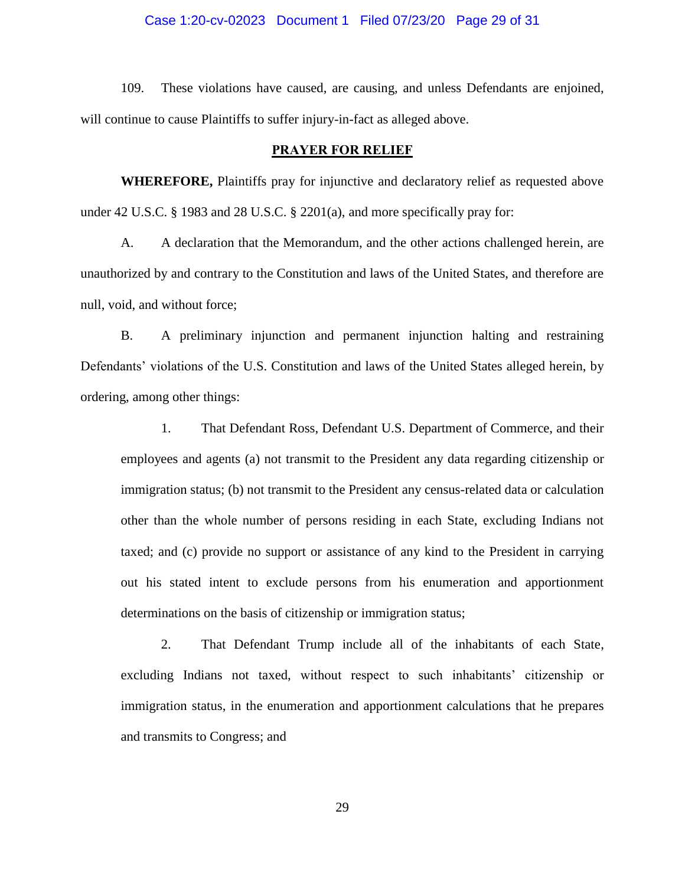#### Case 1:20-cv-02023 Document 1 Filed 07/23/20 Page 29 of 31

109. These violations have caused, are causing, and unless Defendants are enjoined, will continue to cause Plaintiffs to suffer injury-in-fact as alleged above.

#### **PRAYER FOR RELIEF**

**WHEREFORE,** Plaintiffs pray for injunctive and declaratory relief as requested above under 42 U.S.C. § 1983 and 28 U.S.C. § 2201(a), and more specifically pray for:

A. A declaration that the Memorandum, and the other actions challenged herein, are unauthorized by and contrary to the Constitution and laws of the United States, and therefore are null, void, and without force;

B. A preliminary injunction and permanent injunction halting and restraining Defendants' violations of the U.S. Constitution and laws of the United States alleged herein, by ordering, among other things:

1. That Defendant Ross, Defendant U.S. Department of Commerce, and their employees and agents (a) not transmit to the President any data regarding citizenship or immigration status; (b) not transmit to the President any census-related data or calculation other than the whole number of persons residing in each State, excluding Indians not taxed; and (c) provide no support or assistance of any kind to the President in carrying out his stated intent to exclude persons from his enumeration and apportionment determinations on the basis of citizenship or immigration status;

2. That Defendant Trump include all of the inhabitants of each State, excluding Indians not taxed, without respect to such inhabitants' citizenship or immigration status, in the enumeration and apportionment calculations that he prepares and transmits to Congress; and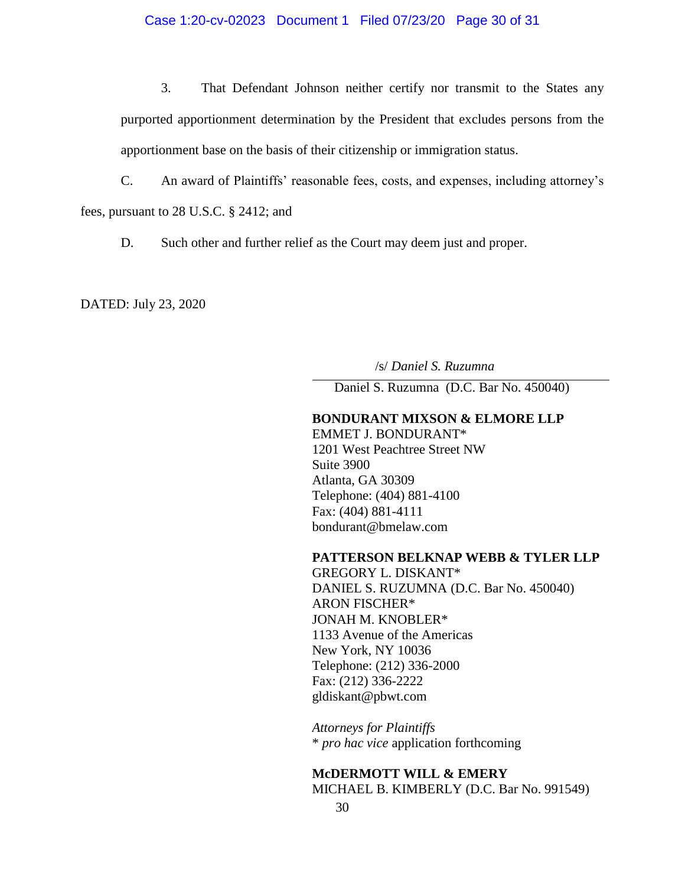#### Case 1:20-cv-02023 Document 1 Filed 07/23/20 Page 30 of 31

3. That Defendant Johnson neither certify nor transmit to the States any purported apportionment determination by the President that excludes persons from the apportionment base on the basis of their citizenship or immigration status.

C. An award of Plaintiffs' reasonable fees, costs, and expenses, including attorney's

fees, pursuant to 28 U.S.C. § 2412; and

D. Such other and further relief as the Court may deem just and proper.

DATED: July 23, 2020

/s/ *Daniel S. Ruzumna*

Daniel S. Ruzumna (D.C. Bar No. 450040)

### **BONDURANT MIXSON & ELMORE LLP**

EMMET J. BONDURANT\* 1201 West Peachtree Street NW Suite 3900 Atlanta, GA 30309 Telephone: (404) 881-4100 Fax: (404) 881-4111 bondurant@bmelaw.com

#### **PATTERSON BELKNAP WEBB & TYLER LLP**

GREGORY L. DISKANT\* DANIEL S. RUZUMNA (D.C. Bar No. 450040) ARON FISCHER\* JONAH M. KNOBLER\* 1133 Avenue of the Americas New York, NY 10036 Telephone: (212) 336-2000 Fax: (212) 336-2222 gldiskant@pbwt.com

*Attorneys for Plaintiffs* \* *pro hac vice* application forthcoming

# **McDERMOTT WILL & EMERY** MICHAEL B. KIMBERLY (D.C. Bar No. 991549)